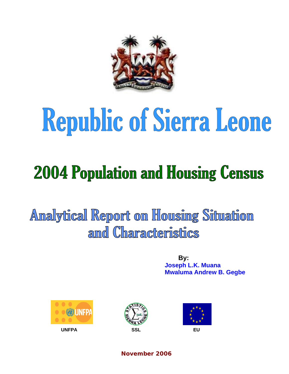

# Republic of Sierra Leone

## **2004 Population and Housing Census**

Analytical Report on Housing Situation amd Characteristics

> **By: Joseph L.K. Muana Mwaluma Andrew B. Gegbe**







**November 2006**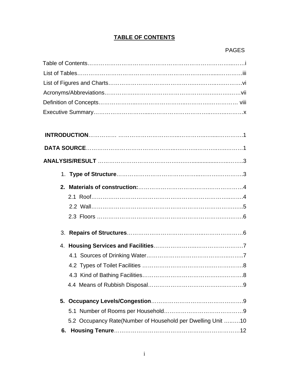#### **TABLE OF CONTENTS**

#### PAGES

|    | 5.2 Occupancy Rate(Number of Household per Dwelling Unit 10 |  |
|----|-------------------------------------------------------------|--|
| 6. |                                                             |  |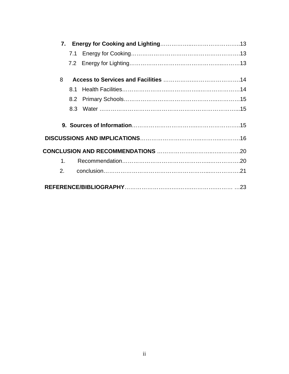|         | 7.1 |  |
|---------|-----|--|
|         |     |  |
| 8       |     |  |
|         | 81  |  |
|         |     |  |
|         |     |  |
|         |     |  |
|         |     |  |
|         |     |  |
| $1_{-}$ |     |  |
| 2.      |     |  |
|         |     |  |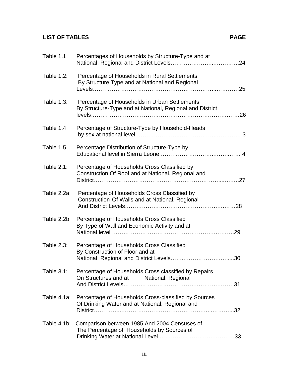### **LIST OF TABLES** PAGE

| Table 1.1         | Percentages of Households by Structure-Type and at                                                        |
|-------------------|-----------------------------------------------------------------------------------------------------------|
| <b>Table 1.2:</b> | Percentage of Households in Rural Settlements<br>By Structure Type and at National and Regional           |
| Table 1.3:        | Percentage of Households in Urban Settlements<br>By Structure-Type and at National, Regional and District |
| Table 1.4         | Percentage of Structure-Type by Household-Heads                                                           |
| Table 1.5         | Percentage Distribution of Structure-Type by                                                              |
| Table $2.1$ :     | Percentage of Households Cross Classified by<br>Construction Of Roof and at National, Regional and        |
| Table 2.2a:       | Percentage of Households Cross Classified by<br>Construction Of Walls and at National, Regional           |
| Table 2.2b        | Percentage of Households Cross Classified<br>By Type of Wall and Economic Activity and at                 |
| Table 2.3:        | Percentage of Households Cross Classified<br>By Construction of Floor and at                              |
| Table $3.1$ :     | Percentage of Households Cross classified by Repairs<br>On Structures and at National, Regional           |
| Table 4.1a:       | Percentage of Households Cross-classified by Sources<br>Of Drinking Water and at National, Regional and   |
| Table 4.1b:       | Comparison between 1985 And 2004 Censuses of<br>The Percentage of Households by Sources of                |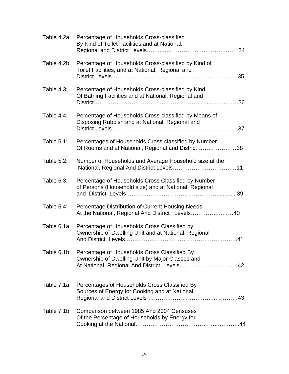| Table 4.2a:   | Percentage of Households Cross-classified<br>By Kind of Toilet Facilities and at National,                   |
|---------------|--------------------------------------------------------------------------------------------------------------|
| Table 4.2b:   | Percentage of Households Cross-classified by Kind of<br>Toilet Facilities, and at National, Regional and     |
| Table $4.3$ : | Percentage of Households Cross-classified by Kind<br>Of Bathing Facilities and at National, Regional and     |
| Table $4.4$ : | Percentage of Households Cross-classified by Means of<br>Disposing Rubbish and at National, Regional and     |
| Table $5.1$ : | Percentages of Households Cross-classified by Number<br>Of Rooms and at National, Regional and District38    |
| Table 5.2:    | Number of Households and Average Household size at the                                                       |
| Table 5.3:    | Percentage of Households Cross Classified by Number<br>of Persons (Household size) and at National, Regional |
| Table $5.4$ : | Percentage Distribution of Current Housing Needs<br>At the National, Regional And District Levels40          |
| Table 6.1a:   | Percentage of Households Cross Classified by<br>Ownership of Dwelling Unit and at National, Regional         |
| Table 6.1b:   | Percentage of Households Cross Classified By<br>Ownership of Dwelling Unit by Major Classes and              |
| Table 7.1a:   | Percentages of Households Cross Classified By<br>Sources of Energy for Cooking and at National,              |
| Table 7.1b:   | Comparison between 1985 And 2004 Censuses<br>Of the Percentage of Households by Energy for                   |
|               |                                                                                                              |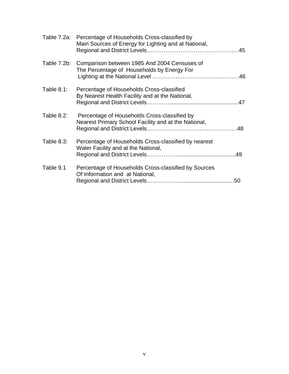|                   | Table 7.2a: Percentage of Households Cross-classified by<br>Main Sources of Energy for Lighting and at National, |
|-------------------|------------------------------------------------------------------------------------------------------------------|
| Table 7.2b:       | Comparison between 1985 And 2004 Censuses of<br>The Percentage of Households by Energy For                       |
| <b>Table 8.1:</b> | Percentage of Households Cross-classified<br>By Nearest Health Facility and at the National,                     |
| <b>Table 8.2:</b> | Percentage of Households Cross-classified by<br>Nearest Primary School Facility and at the National,             |
| <b>Table 8.3:</b> | Percentage of Households Cross-classified by nearest<br>Water Facility and at the National,                      |
| Table 9.1         | Percentage of Households Cross-classified by Sources<br>Of Information and at National,                          |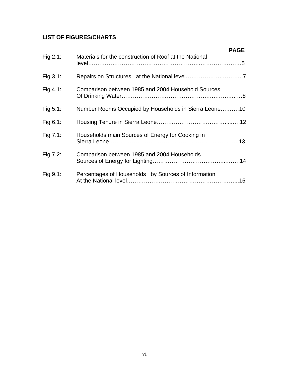#### **LIST OF FIGURES/CHARTS**

|             | <b>PAGE</b>                                            |
|-------------|--------------------------------------------------------|
| Fig 2.1:    | Materials for the construction of Roof at the National |
| Fig 3.1:    |                                                        |
| Fig 4.1:    | Comparison between 1985 and 2004 Household Sources     |
| Fig $5.1$ : | Number Rooms Occupied by Households in Sierra Leone10  |
| Fig $6.1$ : |                                                        |
| Fig $7.1$ : | Households main Sources of Energy for Cooking in       |
| Fig 7.2:    | Comparison between 1985 and 2004 Households            |
| Fig 9.1:    | Percentages of Households by Sources of Information    |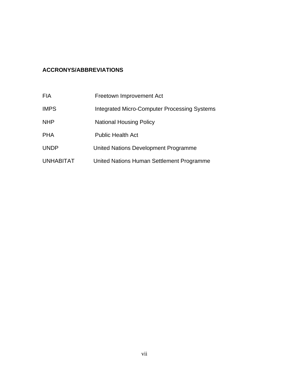#### **ACCRONYS/ABBREVIATIONS**

| FIA         | Freetown Improvement Act                            |
|-------------|-----------------------------------------------------|
| <b>IMPS</b> | <b>Integrated Micro-Computer Processing Systems</b> |
| NHP         | <b>National Housing Policy</b>                      |
| PHA         | <b>Public Health Act</b>                            |
| UNDP        | United Nations Development Programme                |
| UNHABITAT   | United Nations Human Settlement Programme           |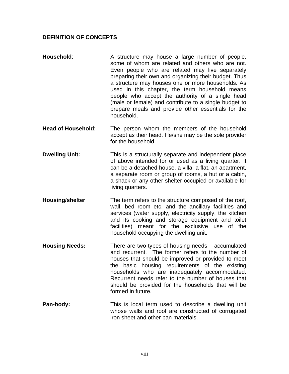#### **DEFINITION OF CONCEPTS**

- **Household:** A structure may house a large number of people, some of whom are related and others who are not. Even people who are related may live separately preparing their own and organizing their budget. Thus a structure may houses one or more households. As used in this chapter, the term household means people who accept the authority of a single head (male or female) and contribute to a single budget to prepare meals and provide other essentials for the household.
- **Head of Household**: The person whom the members of the household accept as their head. He/she may be the sole provider for the household.
- **Dwelling Unit:** This is a structurally separate and independent place of above intended for or used as a living quarter. It can be a detached house, a villa, a flat, an apartment, a separate room or group of rooms, a hut or a cabin, a shack or any other shelter occupied or available for living quarters.
- **Housing/shelter** The term refers to the structure composed of the roof, wall, bed room etc, and the ancillary facilities and services (water supply, electricity supply, the kitchen and its cooking and storage equipment and toilet facilities) meant for the exclusive use of the household occupying the dwelling unit.
- **Housing Needs:** There are two types of housing needs accumulated and recurrent. The former refers to the number of houses that should be improved or provided to meet the basic housing requirements of the existing households who are inadequately accommodated. Recurrent needs refer to the number of houses that should be provided for the households that will be formed in future.
- **Pan-body:** This is local term used to describe a dwelling unit whose walls and roof are constructed of corrugated iron sheet and other pan materials.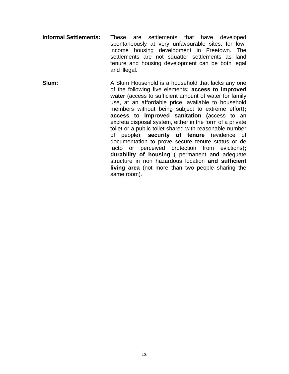- **Informal Settlements:** These are settlements that have developed spontaneously at very unfavourable sites, for lowincome housing development in Freetown. The settlements are not squatter settlements as land tenure and housing development can be both legal and illegal.
- **Slum:** A Slum Household is a household that lacks any one of the following five elements**: access to improved water** (access to sufficient amount of water for family use, at an affordable price, available to household members without being subject to extreme effort)**; access to improved sanitation (**access to an excreta disposal system, either in the form of a private toilet or a public toilet shared with reasonable number of people); **security of tenure** (evidence of documentation to prove secure tenure status or de facto or perceived protection from evictions)**; durability of housing** ( permanent and adequate structure in non hazardous location **and sufficient living area** (not more than two people sharing the same room).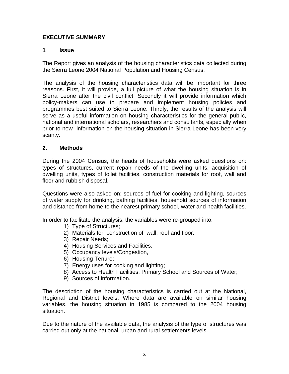#### **EXECUTIVE SUMMARY**

#### **1 Issue**

The Report gives an analysis of the housing characteristics data collected during the Sierra Leone 2004 National Population and Housing Census.

The analysis of the housing characteristics data will be important for three reasons. First, it will provide, a full picture of what the housing situation is in Sierra Leone after the civil conflict. Secondly it will provide information which policy-makers can use to prepare and implement housing policies and programmes best suited to Sierra Leone. Thirdly, the results of the analysis will serve as a useful information on housing characteristics for the general public, national and international scholars, researchers and consultants, especially when prior to now information on the housing situation in Sierra Leone has been very scanty.

#### **2. Methods**

During the 2004 Census, the heads of households were asked questions on: types of structures, current repair needs of the dwelling units, acquisition of dwelling units, types of toilet facilities, construction materials for roof, wall and floor and rubbish disposal.

Questions were also asked on: sources of fuel for cooking and lighting, sources of water supply for drinking, bathing facilities, household sources of information and distance from home to the nearest primary school, water and health facilities.

In order to facilitate the analysis, the variables were re-grouped into:

- 1) Type of Structures;
- 2) Materials for construction of wall, roof and floor;
- 3) Repair Needs;
- 4) Housing Services and Facilities,
- 5) Occupancy levels/Congestion,
- 6) Housing Tenure;
- 7) Energy uses for cooking and lighting;
- 8) Access to Health Facilities, Primary School and Sources of Water;
- 9) Sources of information.

The description of the housing characteristics is carried out at the National, Regional and District levels. Where data are available on similar housing variables, the housing situation in 1985 is compared to the 2004 housing situation.

Due to the nature of the available data, the analysis of the type of structures was carried out only at the national, urban and rural settlements levels.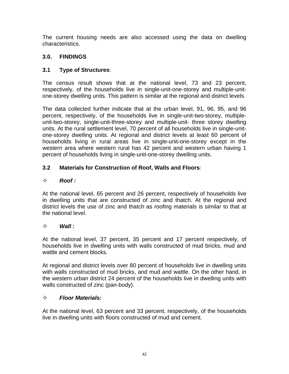The current housing needs are also accessed using the data on dwelling characteristics.

#### **3.0. FINDINGS**

#### **3.1 Type of Structures**:

The census result shows that at the national level, 73 and 23 percent, respectively, of the households live in single-unit-one-storey and multiple-unitone-storey dwelling units. This pattern is similar at the regional and district levels.

The data collected further indicate that at the urban level, 91, 96, 95, and 96 percent, respectively, of the households live in single-unit-two-storey, multipleunit-two-storey, single-unit-three-storey and multiple-unit- three storey dwelling units. At the rural settlement level, 70 percent of all households live in single-unitone-storey dwelling units. At regional and district levels at least 60 percent of households living in rural areas live in single-unit-one-storey except in the western area where western rural has 42 percent and western urban having 1 percent of households living in single-unit-one-storey dwelling units.

#### **3.2 Materials for Construction of Roof, Walls and Floors**:

#### $\Leftrightarrow$  **Roof :**

At the national level, 65 percent and 26 percent, respectively of households live in dwelling units that are constructed of zinc and thatch. At the regional and district levels the use of zinc and thatch as roofing materials is similar to that at the national level.

#### $\diamond$  *Wall*

At the national level, 37 percent, 35 percent and 17 percent respectively, of households live in dwelling units with walls constructed of mud bricks, mud and wattle and cement blocks.

At regional and district levels over 80 percent of households live in dwelling units with walls constructed of mud bricks, and mud and wattle. On the other hand, in the western urban district 24 percent of the households live in dwelling units with walls constructed of zinc (pan-body).

#### *Floor Materials:*

At the national level, 63 percent and 33 percent, respectively, of the households live in dwelling units with floors constructed of mud and cement.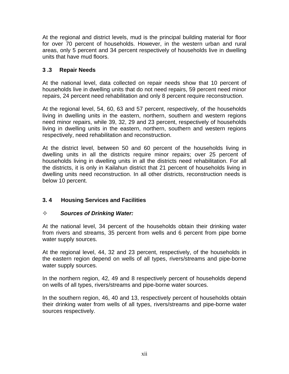At the regional and district levels, mud is the principal building material for floor for over 70 percent of households. However, in the western urban and rural areas, only 5 percent and 34 percent respectively of households live in dwelling units that have mud floors.

#### **3 .3 Repair Needs**

At the national level, data collected on repair needs show that 10 percent of households live in dwelling units that do not need repairs, 59 percent need minor repairs, 24 percent need rehabilitation and only 8 percent require reconstruction.

At the regional level, 54, 60, 63 and 57 percent, respectively, of the households living in dwelling units in the eastern, northern, southern and western regions need minor repairs, while 39, 32, 29 and 23 percent, respectively of households living in dwelling units in the eastern, northern, southern and western regions respectively, need rehabilitation and reconstruction.

At the district level, between 50 and 60 percent of the households living in dwelling units in all the districts require minor repairs; over 25 percent of households living in dwelling units in all the districts need rehabilitation. For all the districts, it is only in Kailahun district that 21 percent of households living in dwelling units need reconstruction. In all other districts, reconstruction needs is below 10 percent.

#### **3. 4 Housing Services and Facilities**

#### *Sources of Drinking Water:*

At the national level, 34 percent of the households obtain their drinking water from rivers and streams, 35 percent from wells and 6 percent from pipe borne water supply sources.

At the regional level, 44, 32 and 23 percent, respectively, of the households in the eastern region depend on wells of all types, rivers/streams and pipe-borne water supply sources.

In the northern region, 42, 49 and 8 respectively percent of households depend on wells of all types, rivers/streams and pipe-borne water sources.

In the southern region, 46, 40 and 13, respectively percent of households obtain their drinking water from wells of all types, rivers/streams and pipe-borne water sources respectively.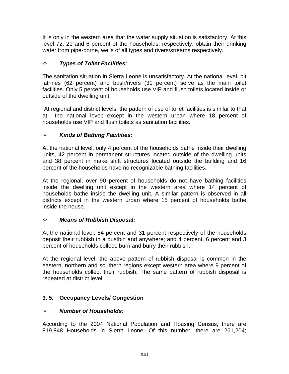It is only in the western area that the water supply situation is satisfactory. At this level 72, 21 and 6 percent of the households, respectively, obtain their drinking water from pipe-borne, wells of all types and rivers/streams respectively.

#### *Types of Toilet Facilities:*

The sanitation situation in Sierra Leone is unsatisfactory. At the national level, pit latrines (62 percent) and bush/rivers (31 percent) serve as the main toilet facilities. Only 5 percent of households use VIP and flush toilets located inside or outside of the dwelling unit.

 At regional and district levels, the pattern of use of toilet facilities is similar to that at the national level; except in the western urban where 18 percent of households use VIP and flush toilets as sanitation facilities.

#### *Kinds of Bathing Facilities:*

At the national level, only 4 percent of the households bathe inside their dwelling units, 42 percent in permanent structures located outside of the dwelling units and 38 percent in make shift structures located outside the building and 16 percent of the households have no recognizable bathing facilities.

At the regional, over 90 percent of households do not have bathing facilities inside the dwelling unit except in the western area where 14 percent of households bathe inside the dwelling unit. A similar pattern is observed in all districts except in the western urban where 15 percent of households bathe inside the house.

#### *Means of Rubbish Disposal:*

At the national level, 54 percent and 31 percent respectively of the households deposit their rubbish in a dustbin and anywhere; and 4 percent, 6 percent and 3 percent of households collect, burn and burry their rubbish.

At the regional level, the above pattern of rubbish disposal is common in the eastern, northern and southern regions except western area where 9 percent of the households collect their rubbish. The same pattern of rubbish disposal is repeated at district level.

#### **3. 5. Occupancy Levels/ Congestion**

#### *Number of Households:*

According to the 2004 National Population and Housing Census, there are 819,848 Households in Sierra Leone. Of this number, there are 261,204;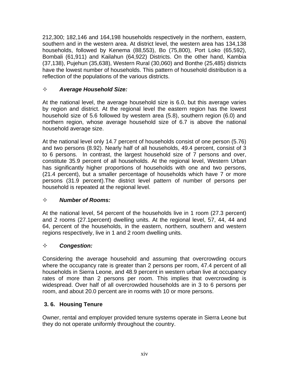212,300; 182,146 and 164,198 households respectively in the northern, eastern, southern and in the western area. At district level, the western area has 134,138 households, followed by Kenema (88,553), Bo (75,800), Port Loko (65,592), Bombali (61,911) and Kailahun (64,922) Districts. On the other hand, Kambia (37,138), Pujehun (35,638), Western Rural (30,060) and Bonthe (25,485) districts have the lowest number of households. This pattern of household distribution is a reflection of the populations of the various districts.

#### *Average Household Size:*

At the national level, the average household size is 6.0, but this average varies by region and district. At the regional level the eastern region has the lowest household size of 5.6 followed by western area (5.8), southern region (6.0) and northern region, whose average household size of 6.7 is above the national household average size.

At the national level only 14.7 percent of households consist of one person (5.76) and two persons (8.92). Nearly half of all households, 49.4 percent, consist of 3 to 6 persons. In contrast, the largest household size of 7 persons and over, constitute 35.9 percent of all households. At the regional level, Western Urban has significantly higher proportions of households with one and two persons, (21.4 percent), but a smaller percentage of households which have 7 or more persons (31.9 percent).The district level pattern of number of persons per household is repeated at the regional level.

#### *Number of Rooms:*

At the national level, 54 percent of the households live in 1 room (27.3 percent) and 2 rooms (27.1percent) dwelling units. At the regional level, 57, 44, 44 and 64, percent of the households, in the eastern, northern, southern and western regions respectively, live in 1 and 2 room dwelling units.

#### *Congestion:*

Considering the average household and assuming that overcrowding occurs where the occupancy rate is greater than 2 persons per room, 47.4 percent of all households in Sierra Leone, and 48.9 percent in western urban live at occupancy rates of more than 2 persons per room. This implies that overcrowding is widespread. Over half of all overcrowded households are in 3 to 6 persons per room, and about 20.0 percent are in rooms with 10 or more persons.

#### **3. 6. Housing Tenure**

Owner, rental and employer provided tenure systems operate in Sierra Leone but they do not operate uniformly throughout the country.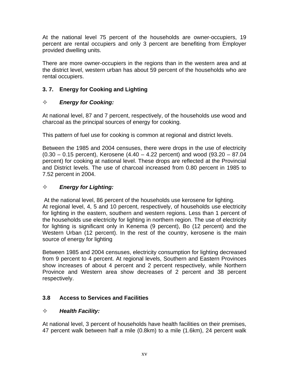At the national level 75 percent of the households are owner-occupiers, 19 percent are rental occupiers and only 3 percent are benefiting from Employer provided dwelling units.

There are more owner-occupiers in the regions than in the western area and at the district level, western urban has about 59 percent of the households who are rental occupiers.

#### **3. 7. Energy for Cooking and Lighting**

#### *Energy for Cooking:*

At national level, 87 and 7 percent, respectively, of the households use wood and charcoal as the principal sources of energy for cooking.

This pattern of fuel use for cooking is common at regional and district levels.

Between the 1985 and 2004 censuses, there were drops in the use of electricity  $(0.30 - 0.15$  percent), Kerosene  $(4.40 - 4.22$  percent) and wood  $(93.20 - 87.04)$ percent) for cooking at national level. These drops are reflected at the Provincial and District levels. The use of charcoal increased from 0.80 percent in 1985 to 7.52 percent in 2004.

#### *Energy for Lighting:*

 At the national level, 86 percent of the households use kerosene for lighting. At regional level, 4, 5 and 10 percent, respectively, of households use electricity for lighting in the eastern, southern and western regions. Less than 1 percent of the households use electricity for lighting in northern region. The use of electricity for lighting is significant only in Kenema (9 percent), Bo (12 percent) and the Western Urban (12 percent). In the rest of the country, kerosene is the main source of energy for lighting

Between 1985 and 2004 censuses, electricity consumption for lighting decreased from 9 percent to 4 percent. At regional levels, Southern and Eastern Provinces show increases of about 4 percent and 2 percent respectively, while Northern Province and Western area show decreases of 2 percent and 38 percent respectively.

#### **3.8 Access to Services and Facilities**

#### *Health Facility:*

At national level, 3 percent of households have health facilities on their premises, 47 percent walk between half a mile (0.8km) to a mile (1.6km), 24 percent walk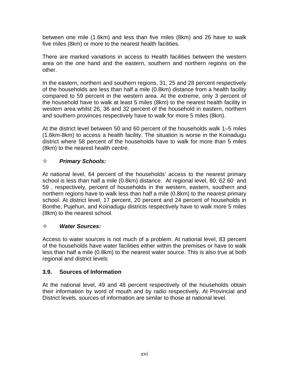between one mile (1.6km) and less than five miles (8km) and 26 have to walk five miles (8km) or more to the nearest health facilities.

There are marked variations in access to Health facilities between the western area on the one hand and the eastern, southern and northern regions on the other.

In the eastern, northern and southern regions, 31, 25 and 28 percent respectively of the households are less than half a mile (0.8km) distance from a health facility compared to 59 percent in the western area. At the extreme, only 3 percent of the household have to walk at least 5 miles (8km) to the nearest health facility in western area whilst 26, 36 and 32 percent of the household in eastern, northern and southern provinces respectively have to walk for more 5 miles (8km).

At the district level between 50 and 60 percent of the households walk 1–5 miles (1.6km-8km) to access a health facility. The situation is worse in the Koinadugu district where 58 percent of the households have to walk for more than 5 miles (8km) to the nearest health centre.

#### *Primary Schools:*

At national level, 64 percent of the households' access to the nearest primary school is less than half a mile (0.8km) distance. At regional level, 80, 62 60 and 59 , respectively, percent of households in the western, eastern, southern and northern regions have to walk less than half a mile (0.8km) to the nearest primary school. At district level, 17 percent, 20 percent and 24 percent of households in Bonthe, Pujehun, and Koinadugu districts respectively have to walk more 5 miles (8km) to the nearest school.

#### *Water Sources:*

Access to water sources is not much of a problem. At national level, 83 percent of the households have water facilities either within the premises or have to walk less than half a mile (0.8km) to the nearest water source. This is also true at both regional and district levels

#### **3.9. Sources of Information**

At the national level, 49 and 48 percent respectively of the households obtain their information by word of mouth and by radio respectively. At Provincial and District levels, sources of information are similar to those at national level.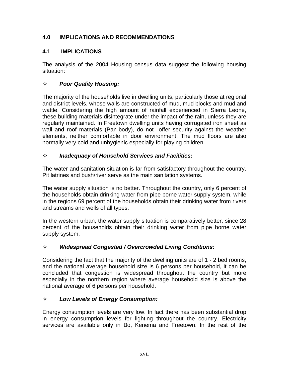#### **4.0 IMPLICATIONS AND RECOMMENDATIONS**

#### **4.1 IMPLICATIONS**

The analysis of the 2004 Housing census data suggest the following housing situation:

#### *Poor Quality Housing:*

The majority of the households live in dwelling units, particularly those at regional and district levels, whose walls are constructed of mud, mud blocks and mud and wattle. Considering the high amount of rainfall experienced in Sierra Leone, these building materials disintegrate under the impact of the rain, unless they are regularly maintained. In Freetown dwelling units having corrugated iron sheet as wall and roof materials (Pan-body), do not offer security against the weather elements, neither comfortable in door environment. The mud floors are also normally very cold and unhygienic especially for playing children.

#### *Inadequacy of Household Services and Facilities:*

The water and sanitation situation is far from satisfactory throughout the country. Pit latrines and bush/river serve as the main sanitation systems.

The water supply situation is no better. Throughout the country, only 6 percent of the households obtain drinking water from pipe borne water supply system, while in the regions 69 percent of the households obtain their drinking water from rivers and streams and wells of all types.

In the western urban, the water supply situation is comparatively better, since 28 percent of the households obtain their drinking water from pipe borne water supply system.

#### *Widespread Congested / Overcrowded Living Conditions:*

Considering the fact that the majority of the dwelling units are of 1 - 2 bed rooms, and the national average household size is 6 persons per household, it can be concluded that congestion is widespread throughout the country but more especially in the northern region where average household size is above the national average of 6 persons per household.

#### *Low Levels of Energy Consumption:*

Energy consumption levels are very low. In fact there has been substantial drop in energy consumption levels for lighting throughout the country. Electricity services are available only in Bo, Kenema and Freetown. In the rest of the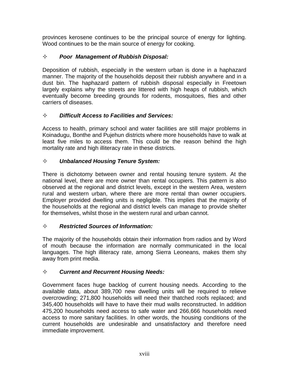provinces kerosene continues to be the principal source of energy for lighting. Wood continues to be the main source of energy for cooking.

#### *Poor Management of Rubbish Disposal:*

Deposition of rubbish, especially in the western urban is done in a haphazard manner. The majority of the households deposit their rubbish anywhere and in a dust bin. The haphazard pattern of rubbish disposal especially in Freetown largely explains why the streets are littered with high heaps of rubbish, which eventually become breeding grounds for rodents, mosquitoes, flies and other carriers of diseases.

#### *Difficult Access to Facilities and Services:*

Access to health, primary school and water facilities are still major problems in Koinadugu, Bonthe and Pujehun districts where more households have to walk at least five miles to access them. This could be the reason behind the high mortality rate and high illiteracy rate in these districts.

#### *Unbalanced Housing Tenure System:*

There is dichotomy between owner and rental housing tenure system. At the national level, there are more owner than rental occupiers. This pattern is also observed at the regional and district levels, except in the western Area, western rural and western urban, where there are more rental than owner occupiers. Employer provided dwelling units is negligible. This implies that the majority of the households at the regional and district levels can manage to provide shelter for themselves, whilst those in the western rural and urban cannot.

#### *Restricted Sources of Information:*

The majority of the households obtain their information from radios and by Word of mouth because the information are normally communicated in the local languages. The high illiteracy rate, among Sierra Leoneans, makes them shy away from print media.

#### *Current and Recurrent Housing Needs:*

Government faces huge backlog of current housing needs. According to the available data, about 389,700 new dwelling units will be required to relieve overcrowding; 271,800 households will need their thatched roofs replaced; and 345,400 households will have to have their mud walls reconstructed. In addition 475,200 households need access to safe water and 266,666 households need access to more sanitary facilities. In other words, the housing conditions of the current households are undesirable and unsatisfactory and therefore need immediate improvement.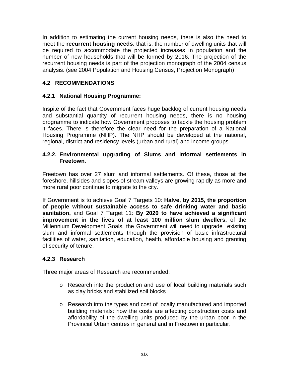In addition to estimating the current housing needs, there is also the need to meet the **recurrent housing needs**, that is, the number of dwelling units that will be required to accommodate the projected increases in population and the number of new households that will be formed by 2016. The projection of the recurrent housing needs is part of the projection monograph of the 2004 census analysis. (see 2004 Population and Housing Census, Projection Monograph)

#### **4.2 RECOMMENDATIONS**

#### **4.2.1 National Housing Programme:**

Inspite of the fact that Government faces huge backlog of current housing needs and substantial quantity of recurrent housing needs, there is no housing programme to indicate how Government proposes to tackle the housing problem it faces. There is therefore the clear need for the preparation of a National Housing Programme (NHP). The NHP should be developed at the national, regional, district and residency levels (urban and rural) and income groups.

#### **4.2.2. Environmental upgrading of Slums and Informal settlements in Freetown**.

Freetown has over 27 slum and informal settlements. Of these, those at the foreshore, hillsides and slopes of stream valleys are growing rapidly as more and more rural poor continue to migrate to the city.

If Government is to achieve Goal 7 Targets 10: **Halve, by 2015, the proportion of people without sustainable access to safe drinking water and basic sanitation,** and Goal 7 Target 11: **By 2020 to have achieved a significant improvement in the lives of at least 100 million slum dwellers,** of the Millennium Development Goals, the Government will need to upgrade existing slum and informal settlements through the provision of basic infrastructural facilities of water, sanitation, education, health, affordable housing and granting of security of tenure.

#### **4.2.3 Research**

Three major areas of Research are recommended:

- o Research into the production and use of local building materials such as clay bricks and stabilized soil blocks
- o Research into the types and cost of locally manufactured and imported building materials: how the costs are affecting construction costs and affordability of the dwelling units produced by the urban poor in the Provincial Urban centres in general and in Freetown in particular.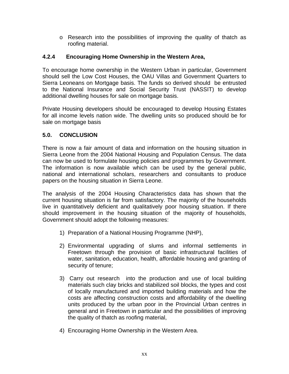$\circ$  Research into the possibilities of improving the quality of thatch as roofing material.

#### **4.2.4 Encouraging Home Ownership in the Western Area,**

To encourage home ownership in the Western Urban in particular, Government should sell the Low Cost Houses, the OAU Villas and Government Quarters to Sierra Leoneans on Mortgage basis. The funds so derived should be entrusted to the National Insurance and Social Security Trust (NASSIT) to develop additional dwelling houses for sale on mortgage basis.

Private Housing developers should be encouraged to develop Housing Estates for all income levels nation wide. The dwelling units so produced should be for sale on mortgage basis

#### **5.0. CONCLUSION**

There is now a fair amount of data and information on the housing situation in Sierra Leone from the 2004 National Housing and Population Census. The data can now be used to formulate housing policies and programmes by Government. The information is now available which can be used by the general public, national and international scholars, researchers and consultants to produce papers on the housing situation in Sierra Leone.

The analysis of the 2004 Housing Characteristics data has shown that the current housing situation is far from satisfactory. The majority of the households live in quantitatively deficient and qualitatively poor housing situation. If there should improvement in the housing situation of the majority of households, Government should adopt the following measures:

- 1) Preparation of a National Housing Programme (NHP),
- 2) Environmental upgrading of slums and informal settlements in Freetown through the provision of basic infrastructural facilities of water, sanitation, education, health, affordable housing and granting of security of tenure;
- 3) Carry out research into the production and use of local building materials such clay bricks and stabilized soil blocks, the types and cost of locally manufactured and imported building materials and how the costs are affecting construction costs and affordability of the dwelling units produced by the urban poor in the Provincial Urban centres in general and in Freetown in particular and the possibilities of improving the quality of thatch as roofing material,
- 4) Encouraging Home Ownership in the Western Area.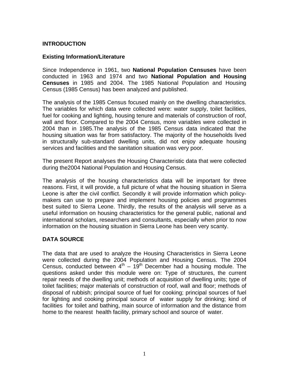#### **INTRODUCTION**

#### **Existing Information/Literature**

Since Independence in 1961, two **National Population Censuses** have been conducted in 1963 and 1974 and two **National Population and Housing Censuses** in 1985 and 2004. The 1985 National Population and Housing Census (1985 Census) has been analyzed and published.

The analysis of the 1985 Census focused mainly on the dwelling characteristics. The variables for which data were collected were: water supply, toilet facilities, fuel for cooking and lighting, housing tenure and materials of construction of roof, wall and floor. Compared to the 2004 Census, more variables were collected in 2004 than in 1985.The analysis of the 1985 Census data indicated that the housing situation was far from satisfactory. The majority of the households lived in structurally sub-standard dwelling units, did not enjoy adequate housing services and facilities and the sanitation situation was very poor.

The present Report analyses the Housing Characteristic data that were collected during the2004 National Population and Housing Census.

The analysis of the housing characteristics data will be important for three reasons. First, it will provide, a full picture of what the housing situation in Sierra Leone is after the civil conflict. Secondly it will provide information which policymakers can use to prepare and implement housing policies and programmes best suited to Sierra Leone. Thirdly, the results of the analysis will serve as a useful information on housing characteristics for the general public, national and international scholars, researchers and consultants, especially when prior to now information on the housing situation in Sierra Leone has been very scanty.

#### **DATA SOURCE**

The data that are used to analyze the Housing Characteristics in Sierra Leone were collected during the 2004 Population and Housing Census. The 2004 Census, conducted between  $4<sup>th</sup> - 19<sup>th</sup>$  December had a housing module. The questions asked under this module were on: Type of structures, the current repair needs of the dwelling unit; methods of acquisition of dwelling units; type of toilet facilities; major materials of construction of roof, wall and floor; methods of disposal of rubbish; principal source of fuel for cooking; principal sources of fuel for lighting and cooking principal source of water supply for drinking; kind of facilities for toilet and bathing, main source of information and the distance from home to the nearest health facility, primary school and source of water.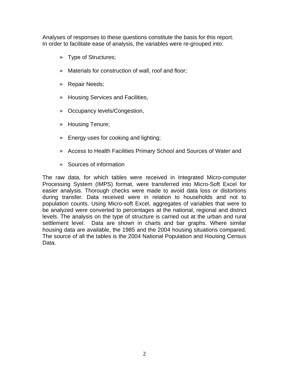Analyses of responses to these questions constitute the basis for this report. In order to facilitate ease of analysis, the variables were re-grouped into:

- » Type of Structures;
- » Materials for construction of wall, roof and floor;
- » Repair Needs;
- » Housing Services and Facilities,
- » Occupancy levels/Congestion,
- » Housing Tenure;
- » Energy uses for cooking and lighting;
- » Access to Health Facilities Primary School and Sources of Water and
- » Sources of information

The raw data, for which tables were received in Integrated Micro-computer Processing System (IMPS) format, were transferred into Micro-Soft Excel for easier analysis. Thorough checks were made to avoid data loss or distortions during transfer. Data received were in relation to households and not to population counts. Using Micro-soft Excel, aggregates of variables that were to be analyzed were converted to percentages at the national, regional and district levels. The analysis on the type of structure is carried out at the urban and rural settlement level. Data are shown in charts and bar graphs. Where similar housing data are available, the 1985 and the 2004 housing situations compared. The source of all the tables is the 2004 National Population and Housing Census Data.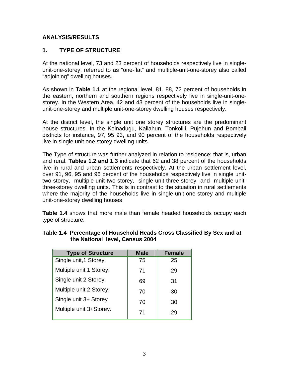#### **ANALYSIS/RESULTS**

#### **1. TYPE OF STRUCTURE**

At the national level, 73 and 23 percent of households respectively live in singleunit-one-storey, referred to as "one-flat" and multiple-unit-one-storey also called "adjoining" dwelling houses.

As shown in **Table 1.1** at the regional level, 81, 88, 72 percent of households in the eastern, northern and southern regions respectively live in single-unit-onestorey. In the Western Area, 42 and 43 percent of the households live in singleunit-one-storey and multiple unit-one-storey dwelling houses respectively.

At the district level, the single unit one storey structures are the predominant house structures. In the Koinadugu, Kailahun, Tonkolili, Pujehun and Bombali districts for instance, 97, 95 93, and 90 percent of the households respectively live in single unit one storey dwelling units.

The Type of structure was further analyzed in relation to residence; that is, urban and rural. **Tables 1.2 and 1.3** indicate that 62 and 38 percent of the households live in rural and urban settlements respectively. At the urban settlement level, over 91, 96, 95 and 96 percent of the households respectively live in single unittwo-storey, multiple-unit-two-storey, single-unit-three-storey and multiple-unitthree-storey dwelling units. This is in contrast to the situation in rural settlements where the majority of the households live in single-unit-one-storey and multiple unit-one-storey dwelling houses

**Table 1.4** shows that more male than female headed households occupy each type of structure.

| <b>Type of Structure</b> | <b>Male</b> | <b>Female</b> |
|--------------------------|-------------|---------------|
| Single unit, 1 Storey,   | 75          | 25            |
| Multiple unit 1 Storey,  | 71          | 29            |
| Single unit 2 Storey,    | 69          | 31            |
| Multiple unit 2 Storey,  | 70          | 30            |
| Single unit 3+ Storey    | 70          | 30            |
| Multiple unit 3+Storey.  | 71          | 29            |

#### **Table 1.4 Percentage of Household Heads Cross Classified By Sex and at the National level, Census 2004**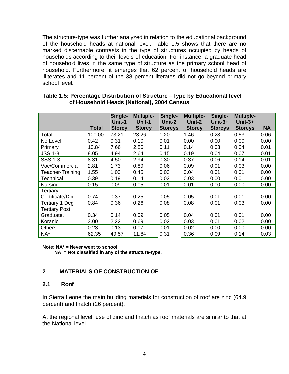The structure-type was further analyzed in relation to the educational background of the household heads at national level. Table 1.5 shows that there are no marked discernable contrasts in the type of structures occupied by heads of households according to their levels of education. For instance, a graduate head of household lives in the same type of structure as the primary school head of household. Furthermore, it emerges that 62 percent of household heads are illiterates and 11 percent of the 38 percent literates did not go beyond primary school level.

|                       | <b>Total</b> | Single-<br>Unit-1<br><b>Storey</b> | <b>Multiple-</b><br>Unit-1<br><b>Storey</b> | Single-<br>Unit-2<br><b>Storeys</b> | <b>Multiple-</b><br>Unit-2<br><b>Storey</b> | Single-<br>Unit- $3+$<br><b>Storeys</b> | <b>Multiple-</b><br>Unit- $3+$<br><b>Storeys</b> | <b>NA</b> |
|-----------------------|--------------|------------------------------------|---------------------------------------------|-------------------------------------|---------------------------------------------|-----------------------------------------|--------------------------------------------------|-----------|
| Total                 | 100.00       | 73.21                              | 23.26                                       | 1.20                                | 1.46                                        | 0.28                                    | 0.53                                             | 0.06      |
|                       |              |                                    |                                             |                                     |                                             |                                         |                                                  |           |
| No Level              | 0.42         | 0.31                               | 0.10                                        | 0.01                                | 0.00                                        | 0.00                                    | 0.00                                             | 0.00      |
| Primary               | 10.84        | 7.66                               | 2.86                                        | 0.11                                | 0.14                                        | 0.03                                    | 0.04                                             | 0.01      |
| <b>JSS 1-3</b>        | 8.05         | 4.94                               | 2.64                                        | 0.15                                | 0.19                                        | 0.04                                    | 0.07                                             | 0.01      |
| <b>SSS 1-3</b>        | 8.31         | 4.50                               | 2.94                                        | 0.30                                | 0.37                                        | 0.06                                    | 0.14                                             | 0.01      |
| Voc/Commercial        | 2.81         | 1.73                               | 0.89                                        | 0.06                                | 0.09                                        | 0.01                                    | 0.03                                             | 0.00      |
| Teacher-Training      | 1.55         | 1.00                               | 0.45                                        | 0.03                                | 0.04                                        | 0.01                                    | 0.01                                             | 0.00      |
| <b>Technical</b>      | 0.39         | 0.19                               | 0.14                                        | 0.02                                | 0.03                                        | 0.00                                    | 0.01                                             | 0.00      |
| <b>Nursing</b>        | 0.15         | 0.09                               | 0.05                                        | 0.01                                | 0.01                                        | 0.00                                    | 0.00                                             | 0.00      |
| Tertiary              |              |                                    |                                             |                                     |                                             |                                         |                                                  |           |
| Certificate/Dip       | 0.74         | 0.37                               | 0.25                                        | 0.05                                | 0.05                                        | 0.01                                    | 0.01                                             | 0.00      |
| <b>Tertiary 1 Deg</b> | 0.84         | 0.36                               | 0.26                                        | 0.08                                | 0.08                                        | 0.01                                    | 0.03                                             | 0.00      |
| <b>Tertiary Post</b>  |              |                                    |                                             |                                     |                                             |                                         |                                                  |           |
| Graduate.             | 0.34         | 0.14                               | 0.09                                        | 0.05                                | 0.04                                        | 0.01                                    | 0.01                                             | 0.00      |
| Koranic               | 3.00         | 2.22                               | 0.69                                        | 0.02                                | 0.03                                        | 0.01                                    | 0.02                                             | 0.00      |
| <b>Others</b>         | 0.23         | 0.13                               | 0.07                                        | 0.01                                | 0.02                                        | 0.00                                    | 0.00                                             | 0.00      |
| $NA^*$                | 62.35        | 49.57                              | 11.84                                       | 0.31                                | 0.36                                        | 0.09                                    | 0.14                                             | 0.03      |

#### **Table 1.5: Percentage Distribution of Structure –Type by Educational level of Household Heads (National), 2004 Census**

**Note: NA\* = Never went to school** 

 **NA = Not classified in any of the structure-type.** 

#### **2 MATERIALS OF CONSTRUCTION OF**

#### **2.1 Roof**

In Sierra Leone the main building materials for construction of roof are zinc (64.9 percent) and thatch (26 percent).

At the regional level use of zinc and thatch as roof materials are similar to that at the National level.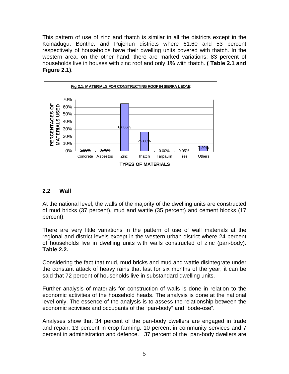This pattern of use of zinc and thatch is similar in all the districts except in the Koinadugu, Bonthe, and Pujehun districts where 61,60 and 53 percent respectively of households have their dwelling units covered with thatch. In the western area, on the other hand, there are marked variations; 83 percent of households live in houses with zinc roof and only 1% with thatch. **( Table 2.1 and Figure 2.1)**.



#### **2.2 Wall**

At the national level, the walls of the majority of the dwelling units are constructed of mud bricks (37 percent), mud and wattle (35 percent) and cement blocks (17 percent).

There are very little variations in the pattern of use of wall materials at the regional and district levels except in the western urban district where 24 percent of households live in dwelling units with walls constructed of zinc (pan-body). **Table 2.2.** 

Considering the fact that mud, mud bricks and mud and wattle disintegrate under the constant attack of heavy rains that last for six months of the year, it can be said that 72 percent of households live in substandard dwelling units.

Further analysis of materials for construction of walls is done in relation to the economic activities of the household heads. The analysis is done at the national level only. The essence of the analysis is to assess the relationship between the economic activities and occupants of the "pan-body" and "bode-ose".

Analyses show that 34 percent of the pan-body dwellers are engaged in trade and repair, 13 percent in crop farming, 10 percent in community services and 7 percent in administration and defence. 37 percent of the pan-body dwellers are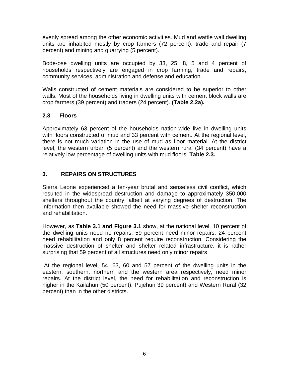evenly spread among the other economic activities. Mud and wattle wall dwelling units are inhabited mostly by crop farmers (72 percent), trade and repair (7 percent) and mining and quarrying (5 percent).

Bode-ose dwelling units are occupied by 33, 25, 8, 5 and 4 percent of households respectively are engaged in crop farming, trade and repairs, community services, administration and defense and education.

Walls constructed of cement materials are considered to be superior to other walls. Most of the households living in dwelling units with cement block walls are crop farmers (39 percent) and traders (24 percent). **(Table 2.2a).**

#### **2.3 Floors**

Approximately 63 percent of the households nation-wide live in dwelling units with floors constructed of mud and 33 percent with cement. At the regional level, there is not much variation in the use of mud as floor material. At the district level, the western urban (5 percent) and the western rural (34 percent) have a relatively low percentage of dwelling units with mud floors. **Table 2.3.** 

#### **3. REPAIRS ON STRUCTURES**

Sierra Leone experienced a ten-year brutal and senseless civil conflict, which resulted in the widespread destruction and damage to approximately 350,000 shelters throughout the country, albeit at varying degrees of destruction. The information then available showed the need for massive shelter reconstruction and rehabilitation.

However, as **Table 3.1 and Figure 3.1** show, at the national level, 10 percent of the dwelling units need no repairs, 59 percent need minor repairs, 24 percent need rehabilitation and only 8 percent require reconstruction. Considering the massive destruction of shelter and shelter related infrastructure, it is rather surprising that 59 percent of all structures need only minor repairs

 At the regional level, 54, 63, 60 and 57 percent of the dwelling units in the eastern, southern, northern and the western area respectively, need minor repairs. At the district level, the need for rehabilitation and reconstruction is higher in the Kailahun (50 percent), Pujehun 39 percent) and Western Rural (32 percent) than in the other districts.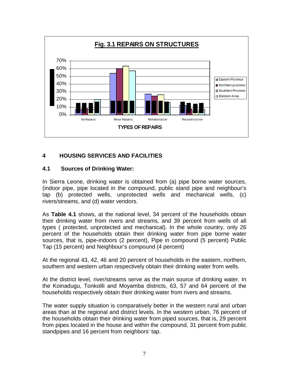

#### **4 HOUSING SERVICES AND FACILITIES**

#### **4.1 Sources of Drinking Water:**

In Sierra Leone, drinking water is obtained from (a) pipe borne water sources, (indoor pipe, pipe located in the compound, public stand pipe and neighbour's tap (b) protected wells, unprotected wells and mechanical wells, (c) rivers/streams, and (d) water vendors.

As **Table 4.1** shows, at the national level, 34 percent of the households obtain their drinking water from rivers and streams, and 39 percent from wells of all types ( protected, unprotected and mechanical). In the whole country, only 26 percent of the households obtain their drinking water from pipe borne water sources, that is, pipe-indoors (2 percent), Pipe in compound (5 percent) Public Tap (15 percent) and Neighbour's compound (4 percent)

At the regional 43, 42, 46 and 20 percent of households in the eastern, northern, southern and western urban respectively obtain their drinking water from wells.

At the district level, river/streams serve as the main source of drinking water. In the Koinadugu, Tonkolili and Moyamba districts, 63, 57 and 64 percent of the households respectively obtain their drinking water from rivers and streams.

The water supply situation is comparatively better in the western rural and urban areas than at the regional and district levels. In the western urban, 76 percent of the households obtain their drinking water from piped sources, that is, 29 percent from pipes located in the house and within the compound, 31 percent from public standpipes and 16 percent from neighbors' tap.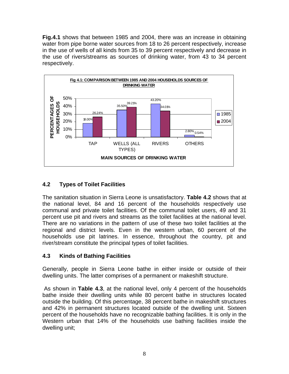**Fig.4.1** shows that between 1985 and 2004, there was an increase in obtaining water from pipe borne water sources from 18 to 26 percent respectively, increase in the use of wells of all kinds from 35 to 39 percent respectively and decrease in the use of rivers/streams as sources of drinking water, from 43 to 34 percent respectively.



#### **4.2 Types of Toilet Facilities**

The sanitation situation in Sierra Leone is unsatisfactory. **Table 4.2** shows that at the national level, 84 and 16 percent of the households respectively use communal and private toilet facilities. Of the communal toilet users, 49 and 31 percent use pit and rivers and streams as the toilet facilities at the national level. There are no variations in the pattern of use of these two toilet facilities at the regional and district levels. Even in the western urban, 60 percent of the households use pit latrines. In essence, throughout the country, pit and river/stream constitute the principal types of toilet facilities.

#### **4.3 Kinds of Bathing Facilities**

Generally, people in Sierra Leone bathe in either inside or outside of their dwelling units. The latter comprises of a permanent or makeshift structure.

 As shown in **Table 4.3**, at the national level, only 4 percent of the households bathe inside their dwelling units while 80 percent bathe in structures located outside the building. Of this percentage, 38 percent bathe in makeshift structures and 42% in permanent structures located outside of the dwelling unit. Sixteen percent of the households have no recognizable bathing facilities. It is only in the Western urban that 14% of the households use bathing facilities inside the dwelling unit;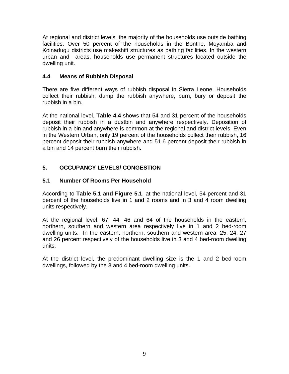At regional and district levels, the majority of the households use outside bathing facilities. Over 50 percent of the households in the Bonthe, Moyamba and Koinadugu districts use makeshift structures as bathing facilities. In the western urban and areas, households use permanent structures located outside the dwelling unit.

#### **4.4 Means of Rubbish Disposal**

There are five different ways of rubbish disposal in Sierra Leone. Households collect their rubbish, dump the rubbish anywhere, burn, bury or deposit the rubbish in a bin.

At the national level, **Table 4.4** shows that 54 and 31 percent of the households deposit their rubbish in a dustbin and anywhere respectively. Deposition of rubbish in a bin and anywhere is common at the regional and district levels. Even in the Western Urban, only 19 percent of the households collect their rubbish, 16 percent deposit their rubbish anywhere and 51.6 percent deposit their rubbish in a bin and 14 percent burn their rubbish.

#### **5. OCCUPANCY LEVELS/ CONGESTION**

#### **5.1 Number Of Rooms Per Household**

According to **Table 5.1 and Figure 5.1**, at the national level, 54 percent and 31 percent of the households live in 1 and 2 rooms and in 3 and 4 room dwelling units respectively.

At the regional level, 67, 44, 46 and 64 of the households in the eastern, northern, southern and western area respectively live in 1 and 2 bed-room dwelling units. In the eastern, northern, southern and western area, 25, 24, 27 and 26 percent respectively of the households live in 3 and 4 bed-room dwelling units.

At the district level, the predominant dwelling size is the 1 and 2 bed-room dwellings, followed by the 3 and 4 bed-room dwelling units.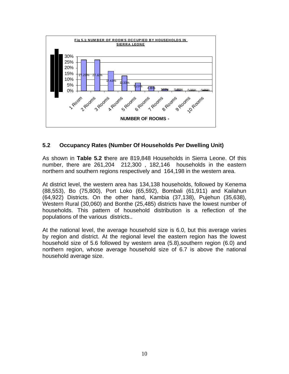

#### **5.2 Occupancy Rates (Number Of Households Per Dwelling Unit)**

As shown in **Table 5.2 t**here are 819,848 Households in Sierra Leone. Of this number, there are 261,204 212,300 , 182,146 households in the eastern northern and southern regions respectively and 164,198 in the western area.

At district level, the western area has 134,138 households, followed by Kenema (88,553), Bo (75,800), Port Loko (65,592), Bombali (61,911) and Kailahun (64,922) Districts. On the other hand, Kambia (37,138), Pujehun (35,638), Western Rural (30,060) and Bonthe (25,485) districts have the lowest number of households. This pattern of household distribution is a reflection of the populations of the various districts..

At the national level, the average household size is 6.0, but this average varies by region and district. At the regional level the eastern region has the lowest household size of 5.6 followed by western area (5.8),southern region (6.0) and northern region, whose average household size of 6.7 is above the national household average size.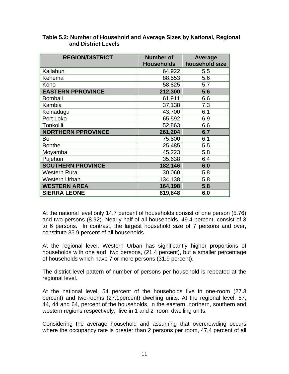| <b>REGION/DISTRICT</b>    | <b>Number of</b><br><b>Households</b> | Average<br>household size |
|---------------------------|---------------------------------------|---------------------------|
| Kailahun                  | 64,922                                | 5.5                       |
| Kenema                    | 88,553                                | 5.6                       |
| Kono                      | 58,825                                | 5.7                       |
| <b>EASTERN PPROVINCE</b>  | 212,300                               | 5.6                       |
| <b>Bombali</b>            | 61,911                                | 6.6                       |
| Kambia                    | 37,138                                | 7.3                       |
| Koinadugu                 | 43,700                                | 6.1                       |
| Port Loko                 | 65,592                                | 6.9                       |
| Tonkolili                 | 52,863                                | 6.6                       |
| <b>NORTHERN PPROVINCE</b> | 261,204                               | 6.7                       |
| Bo                        | 75,800                                | 6.1                       |
| <b>Bonthe</b>             | 25,485                                | 5.5                       |
| Moyamba                   | 45,223                                | 5.8                       |
| Pujehun                   | 35,638                                | 6.4                       |
| <b>SOUTHERN PROVINCE</b>  | 182,146                               | 6.0                       |
| <b>Western Rural</b>      | 30,060                                | 5.8                       |
| <b>Western Urban</b>      | 134,138                               | 5.8                       |
| <b>WESTERN AREA</b>       | 164,198                               | 5.8                       |
| <b>SIERRA LEONE</b>       | 819,848                               | 6.0                       |

#### **Table 5.2: Number of Household and Average Sizes by National, Regional and District Levels**

At the national level only 14.7 percent of households consist of one person (5.76) and two persons (8.92). Nearly half of all households, 49.4 percent, consist of 3 to 6 persons. In contrast, the largest household size of 7 persons and over, constitute 35.9 percent of all households.

At the regional level, Western Urban has significantly higher proportions of households with one and two persons, (21.4 percent), but a smaller percentage of households which have 7 or more persons (31.9 percent).

The district level pattern of number of persons per household is repeated at the regional level.

At the national level, 54 percent of the households live in one-room (27.3 percent) and two-rooms (27.1percent) dwelling units. At the regional level, 57, 44, 44 and 64, percent of the households, in the eastern, northern, southern and western regions respectively, live in 1 and 2 room dwelling units.

Considering the average household and assuming that overcrowding occurs where the occupancy rate is greater than 2 persons per room, 47.4 percent of all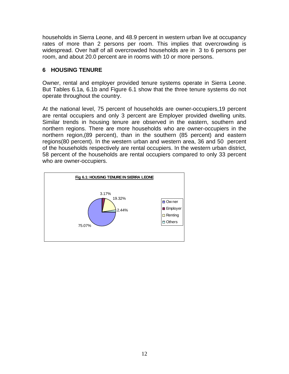households in Sierra Leone, and 48.9 percent in western urban live at occupancy rates of more than 2 persons per room. This implies that overcrowding is widespread. Over half of all overcrowded households are in 3 to 6 persons per room, and about 20.0 percent are in rooms with 10 or more persons.

#### **6 HOUSING TENURE**

Owner, rental and employer provided tenure systems operate in Sierra Leone. But Tables 6.1a, 6.1b and Figure 6.1 show that the three tenure systems do not operate throughout the country.

At the national level, 75 percent of households are owner-occupiers,19 percent are rental occupiers and only 3 percent are Employer provided dwelling units. Similar trends in housing tenure are observed in the eastern, southern and northern regions. There are more households who are owner-occupiers in the northern region,(89 percent), than in the southern (85 percent) and eastern regions(80 percent). In the western urban and western area, 36 and 50 percent of the households respectively are rental occupiers. In the western urban district, 58 percent of the households are rental occupiers compared to only 33 percent who are owner-occupiers.

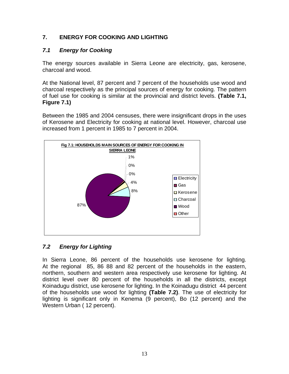#### **7. ENERGY FOR COOKING AND LIGHTING**

#### *7.1 Energy for Cooking*

The energy sources available in Sierra Leone are electricity, gas, kerosene, charcoal and wood.

At the National level, 87 percent and 7 percent of the households use wood and charcoal respectively as the principal sources of energy for cooking. The pattern of fuel use for cooking is similar at the provincial and district levels. **(Table 7.1, Figure 7.1)**

Between the 1985 and 2004 censuses, there were insignificant drops in the uses of Kerosene and Electricity for cooking at national level. However, charcoal use increased from 1 percent in 1985 to 7 percent in 2004.



#### *7.2 Energy for Lighting*

In Sierra Leone, 86 percent of the households use kerosene for lighting. At the regional 85, 86 88 and 82 percent of the households in the eastern, northern, southern and western area respectively use kerosene for lighting. At district level over 80 percent of the households in all the districts, except Koinadugu district, use kerosene for lighting. In the Koinadugu district 44 percent of the households use wood for lighting **(Table 7.2)**. The use of electricity for lighting is significant only in Kenema (9 percent), Bo (12 percent) and the Western Urban ( 12 percent).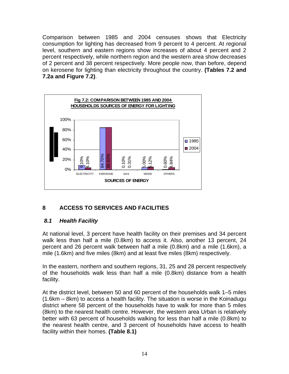Comparison between 1985 and 2004 censuses shows that Electricity consumption for lighting has decreased from 9 percent to 4 percent. At regional level, southern and eastern regions show increases of about 4 percent and 2 percent respectively, while northern region and the western area show decreases of 2 percent and 38 percent respectively. More people now, than before, depend on kerosene for lighting than electricity throughout the country. **(Tables 7.2 and 7.2a and Figure 7.2)**.



#### **8 ACCESS TO SERVICES AND FACILITIES**

#### *8.1 Health Facility*

At national level, 3 percent have health facility on their premises and 34 percent walk less than half a mile (0.8km) to access it. Also, another 13 percent, 24 percent and 26 percent walk between half a mile (0.8km) and a mile (1.6km), a mile (1.6km) and five miles (8km) and at least five miles (8km) respectively.

In the eastern, northern and southern regions, 31, 25 and 28 percent respectively of the households walk less than half a mile (0.8km) distance from a health facility.

At the district level, between 50 and 60 percent of the households walk 1–5 miles (1.6km – 8km) to access a health facility. The situation is worse in the Koinadugu district where 58 percent of the households have to walk for more than 5 miles (8km) to the nearest health centre. However, the western area Urban is relatively better with 63 percent of households walking for less than half a mile (0.8km) to the nearest health centre, and 3 percent of households have access to health facility within their homes. **(Table 8.1)**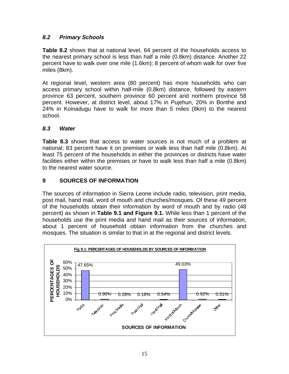#### *8.2 Primary Schools*

**Table 8.2** shows that at national level, 64 percent of the households access to the nearest primary school is less than half a mile (0.8km) distance. Another 22 percent have to walk over one mile (1.6km); 8 percent of whom walk for over five miles (8km).

At regional level, western area (80 percent) has more households who can access primary school within half-mile (0.8km) distance, followed by eastern province 63 percent, southern province 60 percent and northern province 58 percent. However, at district level, about 17% in Pujehun, 20% in Bonthe and 24% in Koinadugu have to walk for more than 5 miles (8km) to the nearest school.

#### *8.3 Water*

**Table 8.3** shows that access to water sources is not much of a problem at national; 83 percent have it on premises or walk less than half mile (0.8km). At least 75 percent of the households in either the provinces or districts have water facilities either within the premises or have to walk less than half a mile (0.8km) to the nearest water source.

#### **9 SOURCES OF INFORMATION**

The sources of information in Sierra Leone include radio, television, print media, post mail, hand mail, word of mouth and churches/mosques. Of these 49 percent of the households obtain their information by word of mouth and by radio (48 percent) as shown in **Table 9.1 and Figure 9.1.** While less than 1 percent of the households use the print media and hand mail as their sources of information, about 1 percent of household obtain information from the churches and mosques. The situation is similar to that in at the regional and district levels.

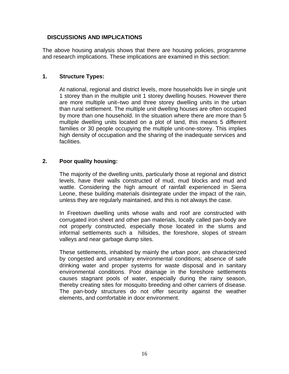#### **DISCUSSIONS AND IMPLICATIONS**

The above housing analysis shows that there are housing policies, programme and research implications. These implications are examined in this section:

#### **1. Structure Types:**

At national, regional and district levels, more households live in single unit 1 storey than in the multiple unit 1 storey dwelling houses. However there are more multiple unit–two and three storey dwelling units in the urban than rural settlement. The multiple unit dwelling houses are often occupied by more than one household. In the situation where there are more than 5 multiple dwelling units located on a plot of land, this means 5 different families or 30 people occupying the multiple unit-one-storey. This implies high density of occupation and the sharing of the inadequate services and facilities.

#### **2. Poor quality housing:**

The majority of the dwelling units, particularly those at regional and district levels, have their walls constructed of mud, mud blocks and mud and wattle. Considering the high amount of rainfall experienced in Sierra Leone, these building materials disintegrate under the impact of the rain, unless they are regularly maintained, and this is not always the case.

In Freetown dwelling units whose walls and roof are constructed with corrugated iron sheet and other pan materials, locally called pan-body are not properly constructed, especially those located in the slums and informal settlements such a hillsides, the foreshore, slopes of stream valleys and near garbage dump sites.

These settlements, inhabited by mainly the urban poor, are characterized by congested and unsanitary environmental conditions; absence of safe drinking water and proper systems for waste disposal and in sanitary environmental conditions. Poor drainage in the foreshore settlements causes stagnant pools of water, especially during the rainy season, thereby creating sites for mosquito breeding and other carriers of disease. The pan-body structures do not offer security against the weather elements, and comfortable in door environment.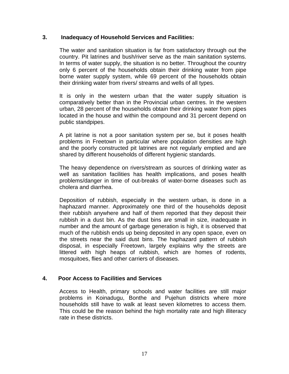#### **3. Inadequacy of Household Services and Facilities:**

The water and sanitation situation is far from satisfactory through out the country. Pit latrines and bush/river serve as the main sanitation systems. In terms of water supply, the situation is no better. Throughout the country only 6 percent of the households obtain their drinking water from pipe borne water supply system, while 69 percent of the households obtain their drinking water from rivers/ streams and wells of all types.

It is only in the western urban that the water supply situation is comparatively better than in the Provincial urban centres. In the western urban, 28 percent of the households obtain their drinking water from pipes located in the house and within the compound and 31 percent depend on public standpipes.

A pit latrine is not a poor sanitation system per se, but it poses health problems in Freetown in particular where population densities are high and the poorly constructed pit latrines are not regularly emptied and are shared by different households of different hygienic standards.

The heavy dependence on rivers/stream as sources of drinking water as well as sanitation facilities has health implications, and poses health problems/danger in time of out-breaks of water-borne diseases such as cholera and diarrhea.

Deposition of rubbish, especially in the western urban, is done in a haphazard manner. Approximately one third of the households deposit their rubbish anywhere and half of them reported that they deposit their rubbish in a dust bin. As the dust bins are small in size, inadequate in number and the amount of garbage generation is high, it is observed that much of the rubbish ends up being deposited in any open space, even on the streets near the said dust bins. The haphazard pattern of rubbish disposal, in especially Freetown, largely explains why the streets are littered with high heaps of rubbish, which are homes of rodents, mosquitoes, flies and other carriers of diseases.

#### **4. Poor Access to Facilities and Services**

Access to Health, primary schools and water facilities are still major problems in Koinadugu, Bonthe and Pujehun districts where more households still have to walk at least seven kilometres to access them. This could be the reason behind the high mortality rate and high illiteracy rate in these districts.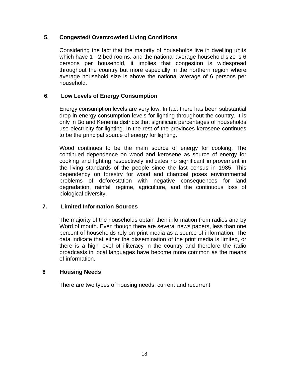#### **5. Congested/ Overcrowded Living Conditions**

Considering the fact that the majority of households live in dwelling units which have 1 - 2 bed rooms, and the national average household size is 6 persons per household, it implies that congestion is widespread throughout the country but more especially in the northern region where average household size is above the national average of 6 persons per household.

#### **6. Low Levels of Energy Consumption**

Energy consumption levels are very low. In fact there has been substantial drop in energy consumption levels for lighting throughout the country. It is only in Bo and Kenema districts that significant percentages of households use electricity for lighting. In the rest of the provinces kerosene continues to be the principal source of energy for lighting.

Wood continues to be the main source of energy for cooking. The continued dependence on wood and kerosene as source of energy for cooking and lighting respectively indicates no significant improvement in the living standards of the people since the last census in 1985. This dependency on forestry for wood and charcoal poses environmental problems of deforestation with negative consequences for land degradation, rainfall regime, agriculture, and the continuous loss of biological diversity.

#### **7. Limited Information Sources**

The majority of the households obtain their information from radios and by Word of mouth. Even though there are several news papers, less than one percent of households rely on print media as a source of information. The data indicate that either the dissemination of the print media is limited, or there is a high level of illiteracy in the country and therefore the radio broadcasts in local languages have become more common as the means of information.

#### **8 Housing Needs**

There are two types of housing needs: current and recurrent.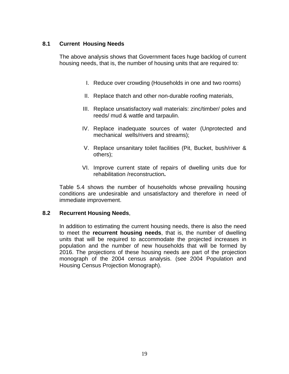#### **8.1 Current Housing Needs**

The above analysis shows that Government faces huge backlog of current housing needs, that is, the number of housing units that are required to:

- I. Reduce over crowding (Households in one and two rooms)
- II. Replace thatch and other non-durable roofing materials,
- III. Replace unsatisfactory wall materials: zinc/timber/ poles and reeds/ mud & wattle and tarpaulin.
- IV. Replace inadequate sources of water (Unprotected and mechanical wells/rivers and streams);
- V. Replace unsanitary toilet facilities (Pit, Bucket, bush/river & others);
- VI. Improve current state of repairs of dwelling units due for rehabilitation /reconstruction**.**

Table 5.4 shows the number of households whose prevailing housing conditions are undesirable and unsatisfactory and therefore in need of immediate improvement.

#### **8.2 Recurrent Housing Needs**,

In addition to estimating the current housing needs, there is also the need to meet the **recurrent housing needs**, that is, the number of dwelling units that will be required to accommodate the projected increases in population and the number of new households that will be formed by 2016. The projections of these housing needs are part of the projection monograph of the 2004 census analysis. (see 2004 Population and Housing Census Projection Monograph).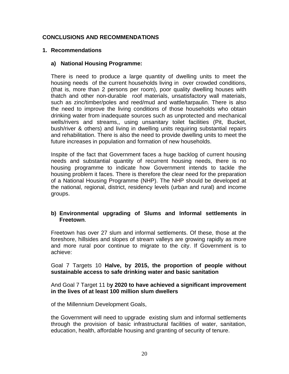#### **CONCLUSIONS AND RECOMMENDATIONS**

#### **1. Recommendations**

#### **a) National Housing Programme:**

There is need to produce a large quantity of dwelling units to meet the housing needs of the current households living in over crowded conditions, (that is, more than 2 persons per room), poor quality dwelling houses with thatch and other non-durable roof materials, unsatisfactory wall materials, such as zinc/timber/poles and reed/mud and wattle/tarpaulin. There is also the need to improve the living conditions of those households who obtain drinking water from inadequate sources such as unprotected and mechanical wells/rivers and streams,, using unsanitary toilet facilities (Pit, Bucket, bush/river & others) and living in dwelling units requiring substantial repairs and rehabilitation. There is also the need to provide dwelling units to meet the future increases in population and formation of new households.

Inspite of the fact that Government faces a huge backlog of current housing needs and substantial quantity of recurrent housing needs, there is no housing programme to indicate how Government intends to tackle the housing problem it faces. There is therefore the clear need for the preparation of a National Housing Programme (NHP). The NHP should be developed at the national, regional, district, residency levels (urban and rural) and income groups.

#### **b) Environmental upgrading of Slums and Informal settlements in Freetown**.

Freetown has over 27 slum and informal settlements. Of these, those at the foreshore, hillsides and slopes of stream valleys are growing rapidly as more and more rural poor continue to migrate to the city. If Government is to achieve:

#### Goal 7 Targets 10 **Halve, by 2015, the proportion of people without sustainable access to safe drinking water and basic sanitation**

#### And Goal 7 Target 11 b**y 2020 to have achieved a significant improvement in the lives of at least 100 million slum dwellers**

of the Millennium Development Goals,

the Government will need to upgrade existing slum and informal settlements through the provision of basic infrastructural facilities of water, sanitation, education, health, affordable housing and granting of security of tenure.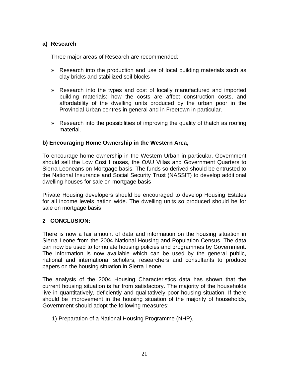#### **a) Research**

Three major areas of Research are recommended:

- » Research into the production and use of local building materials such as clay bricks and stabilized soil blocks
- » Research into the types and cost of locally manufactured and imported building materials: how the costs are affect construction costs, and affordability of the dwelling units produced by the urban poor in the Provincial Urban centres in general and in Freetown in particular.
- » Research into the possibilities of improving the quality of thatch as roofing material.

#### **b) Encouraging Home Ownership in the Western Area,**

To encourage home ownership in the Western Urban in particular, Government should sell the Low Cost Houses, the OAU Villas and Government Quarters to Sierra Leoneans on Mortgage basis. The funds so derived should be entrusted to the National Insurance and Social Security Trust (NASSIT) to develop additional dwelling houses for sale on mortgage basis

Private Housing developers should be encouraged to develop Housing Estates for all income levels nation wide. The dwelling units so produced should be for sale on mortgage basis

#### **2 CONCLUSION:**

There is now a fair amount of data and information on the housing situation in Sierra Leone from the 2004 National Housing and Population Census. The data can now be used to formulate housing policies and programmes by Government. The information is now available which can be used by the general public, national and international scholars, researchers and consultants to produce papers on the housing situation in Sierra Leone.

The analysis of the 2004 Housing Characteristics data has shown that the current housing situation is far from satisfactory. The majority of the households live in quantitatively, deficiently and qualitatively poor housing situation. If there should be improvement in the housing situation of the majority of households, Government should adopt the following measures:

1) Preparation of a National Housing Programme (NHP),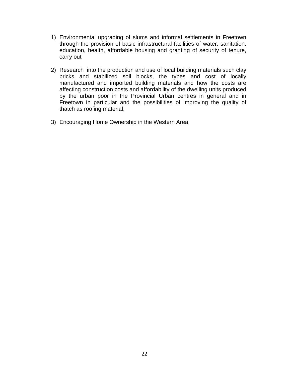- 1) Environmental upgrading of slums and informal settlements in Freetown through the provision of basic infrastructural facilities of water, sanitation, education, health, affordable housing and granting of security of tenure, carry out
- 2) Research into the production and use of local building materials such clay bricks and stabilized soil blocks, the types and cost of locally manufactured and imported building materials and how the costs are affecting construction costs and affordability of the dwelling units produced by the urban poor in the Provincial Urban centres in general and in Freetown in particular and the possibilities of improving the quality of thatch as roofing material,
- 3) Encouraging Home Ownership in the Western Area,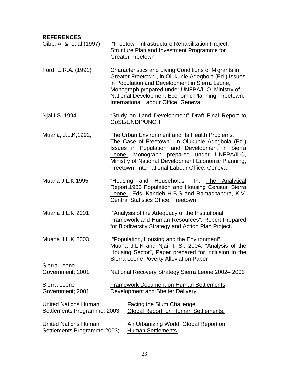#### **REFERENCES**

| Gibb. A & et al (1997)                                      | "Freetown Infrastructure Rehabilitation Project:<br>Structure Plan and Investment Programme for<br><b>Greater Freetown</b>                                                                                                                                                                                     |
|-------------------------------------------------------------|----------------------------------------------------------------------------------------------------------------------------------------------------------------------------------------------------------------------------------------------------------------------------------------------------------------|
| Ford, E.R.A. (1991)                                         | Characteristics and Living Conditions of Migrants in<br>Greater Freetown", in Olukunle Adegbola (Ed.) Issues<br>in Population and Development in Sierra Leone,<br>Monograph prepared under UNFPA/ILO, Ministry of<br>National Development Economic Planning, Freetown,<br>International Labour Office, Geneva. |
| Njai I.S. 1994                                              | "Study on Land Development" Draft Final Report to<br>GoSL/UNDP/UNCH                                                                                                                                                                                                                                            |
| Muana, J.L.K, 1992,                                         | The Urban Environment and Its Health Problems:<br>The Case of Freetown", in Olukunle Adegbola (Ed.)<br>Issues in Population and Development in Sierra<br>Leone, Monograph prepared under UNFPA/ILO,<br>Ministry of National Development Economic Planning,<br>Freetown, International Labour Office, Geneva    |
| Muana J.L.K, 1995                                           | "Housing and Households"; In: The Analytical<br>Report, 1985 Population and Housing Census, Sierra<br>Leone, Eds. Kandeh H.B.S and Ramachandra, K.V.<br><b>Central Statistics Office, Freetown</b>                                                                                                             |
| <b>Muana J.L.K 2001</b>                                     | "Analysis of the Adequacy of the Institutional<br>Framework and Human Resources", Report Prepared<br>for Biodiversity Strategy and Action Plan Project.                                                                                                                                                        |
| <b>Muana J.L.K 2003</b>                                     | "Population, Housing and the Environment",<br>Muana J.L.K and Njai. I. S.; 2004; "Analysis of the<br>Housing Sector", Paper prepared for inclusion in the<br><b>Sierra Leone Poverty Alleviation Paper</b>                                                                                                     |
| Sierra Leone<br>Government; 2001;                           | National Recovery Strategy: Sierra Leone 2002-2003                                                                                                                                                                                                                                                             |
| Sierra Leone<br>Government; 2001;                           | <b>Framework Document on Human Settlements</b><br><b>Development and Shelter Delivery.</b>                                                                                                                                                                                                                     |
| <b>United Nations Human</b><br>Settlements Programme; 2003; | Facing the Slum Challenge,<br><b>Global Report on Human Settlements.</b>                                                                                                                                                                                                                                       |
| <b>United Nations Human</b><br>Settlements Programme 2003;  | <u>An Urbanizing World, Global Report on</u><br><b>Human Settlements.</b>                                                                                                                                                                                                                                      |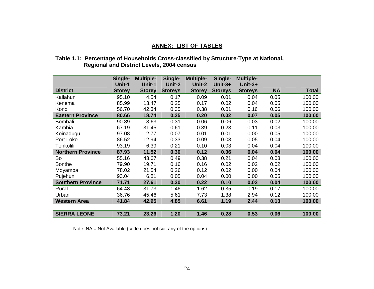#### **ANNEX: LIST OF TABLES**

#### **Table 1.1: Percentage of Households Cross-classified by Structure-Type at National, Regional and District Levels, 2004 census**

|                          | Single-<br>Unit-1 | <b>Multiple-</b><br>Unit-1 | Single-<br>Unit-2 | <b>Multiple-</b><br>Unit-2 | Single-<br>Unit- $3+$ | <b>Multiple-</b><br>$Unit-3+$ |           |              |
|--------------------------|-------------------|----------------------------|-------------------|----------------------------|-----------------------|-------------------------------|-----------|--------------|
| <b>District</b>          | <b>Storey</b>     | <b>Storey</b>              | <b>Storeys</b>    | <b>Storey</b>              | <b>Storeys</b>        | <b>Storeys</b>                | <b>NA</b> | <b>Total</b> |
| Kailahun                 | 95.10             | 4.54                       | 0.17              | 0.09                       | 0.01                  | 0.04                          | 0.05      | 100.00       |
| Kenema                   | 85.99             | 13.47                      | 0.25              | 0.17                       | 0.02                  | 0.04                          | 0.05      | 100.00       |
| Kono                     | 56.70             | 42.34                      | 0.35              | 0.38                       | 0.01                  | 0.16                          | 0.06      | 100.00       |
| <b>Eastern Province</b>  | 80.66             | 18.74                      | 0.25              | 0.20                       | 0.02                  | 0.07                          | 0.05      | 100.00       |
| Bombali                  | 90.89             | 8.63                       | 0.31              | 0.06                       | 0.06                  | 0.03                          | 0.02      | 100.00       |
| Kambia                   | 67.19             | 31.45                      | 0.61              | 0.39                       | 0.23                  | 0.11                          | 0.03      | 100.00       |
| Koinadugu                | 97.08             | 2.77                       | 0.07              | 0.01                       | 0.01                  | 0.00                          | 0.05      | 100.00       |
| Port Loko                | 86.52             | 12.94                      | 0.33              | 0.09                       | 0.03                  | 0.05                          | 0.04      | 100.00       |
| Tonkolili                | 93.19             | 6.39                       | 0.21              | 0.10                       | 0.03                  | 0.04                          | 0.04      | 100.00       |
| <b>Northern Province</b> | 87.93             | 11.52                      | 0.30              | 0.12                       | 0.06                  | 0.04                          | 0.04      | 100.00       |
| Bo                       | 55.16             | 43.67                      | 0.49              | 0.38                       | 0.21                  | 0.04                          | 0.03      | 100.00       |
| <b>Bonthe</b>            | 79.90             | 19.71                      | 0.16              | 0.16                       | 0.02                  | 0.02                          | 0.02      | 100.00       |
| Moyamba                  | 78.02             | 21.54                      | 0.26              | 0.12                       | 0.02                  | 0.00                          | 0.04      | 100.00       |
| Pujehun                  | 93.04             | 6.81                       | 0.05              | 0.04                       | 0.00                  | 0.00                          | 0.05      | 100.00       |
| <b>Southern Province</b> | 71.71             | 27.61                      | 0.30              | 0.22                       | 0.10                  | 0.02                          | 0.04      | 100.00       |
| Rural                    | 64.48             | 31.73                      | 1.46              | 1.62                       | 0.35                  | 0.19                          | 0.17      | 100.00       |
| Urban                    | 36.76             | 45.46                      | 5.61              | 7.73                       | 1.38                  | 2.94                          | 0.12      | 100.00       |
| <b>Western Area</b>      | 41.84             | 42.95                      | 4.85              | 6.61                       | 1.19                  | 2.44                          | 0.13      | 100.00       |
|                          |                   |                            |                   |                            |                       |                               |           |              |
| <b>SIERRA LEONE</b>      | 73.21             | 23.26                      | 1.20              | 1.46                       | 0.28                  | 0.53                          | 0.06      | 100.00       |

Note: NA = Not Available (code does not suit any of the options)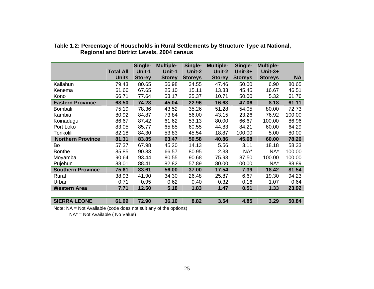|                          |                  | Single-       | <b>Multiple-</b> | Single-        | <b>Multiple-</b> | Single-        | <b>Multiple-</b> |           |
|--------------------------|------------------|---------------|------------------|----------------|------------------|----------------|------------------|-----------|
|                          | <b>Total All</b> | Unit-1        | Unit-1           | Unit-2         | Unit-2           | $Unit-3+$      | $Unit-3+$        |           |
|                          | <b>Units</b>     | <b>Storey</b> | <b>Storey</b>    | <b>Storeys</b> | <b>Storey</b>    | <b>Storeys</b> | <b>Storeys</b>   | <b>NA</b> |
| Kailahun                 | 79.43            | 80.65         | 56.98            | 34.55          | 47.46            | 50.00          | 6.90             | 80.65     |
| Kenema                   | 61.66            | 67.65         | 25.10            | 15.11          | 13.33            | 45.45          | 16.67            | 46.51     |
| Kono                     | 66.71            | 77.64         | 53.17            | 25.37          | 10.71            | 50.00          | 5.32             | 61.76     |
| <b>Eastern Province</b>  | 68.50            | 74.28         | 45.04            | 22.96          | 16.63            | 47.06          | 8.18             | 61.11     |
| Bombali                  | 75.19            | 78.36         | 43.52            | 35.26          | 51.28            | 54.05          | 80.00            | 72.73     |
| Kambia                   | 80.92            | 84.87         | 73.84            | 56.00          | 43.15            | 23.26          | 76.92            | 100.00    |
| Koinadugu                | 86.67            | 87.42         | 61.62            | 53.13          | 80.00            | 66.67          | 100.00           | 86.96     |
| Port Loko                | 83.05            | 85.77         | 65.85            | 60.55          | 44.83            | 84.21          | 60.00            | 64.29     |
| Tonkolili                | 82.18            | 84.30         | 53.83            | 45.54          | 18.87            | 100.00         | 5.00             | 80.00     |
| <b>Northern Province</b> | 81.31            | 83.85         | 63.47            | 50.58          | 40.86            | 45.68          | 60.00            | 78.26     |
| Bo                       | 57.37            | 67.98         | 45.20            | 14.13          | 5.56             | 3.11           | 18.18            | 58.33     |
| <b>Bonthe</b>            | 85.85            | 90.83         | 66.57            | 80.95          | 2.38             | NA*            | NA*              | 100.00    |
| Moyamba                  | 90.64            | 93.44         | 80.55            | 90.68          | 75.93            | 87.50          | 100.00           | 100.00    |
| Pujehun                  | 88.01            | 88.41         | 82.82            | 57.89          | 80.00            | 100.00         | NA*              | 88.89     |
| <b>Southern Province</b> | 75.61            | 83.61         | 56.00            | 37.00          | 17.54            | 7.39           | 18.42            | 81.54     |
| Rural                    | 38.93            | 41.90         | 34.30            | 26.48          | 25.87            | 6.67           | 19.30            | 94.23     |
| Urban                    | 0.71             | 0.95          | 0.62             | 0.40           | 0.32             | 0.16           | 1.07             | 0.64      |
| <b>Western Area</b>      | 7.71             | 12.50         | 5.18             | 1.83           | 1.47             | 0.51           | 1.33             | 23.92     |
|                          |                  |               |                  |                |                  |                |                  |           |
| <b>SIERRA LEONE</b>      | 61.99            | 72.90         | 36.10            | 8.82           | 3.54             | 4.85           | 3.29             | 50.84     |

#### **Table 1.2: Percentage of Households in Rural Settlements by Structure Type at National, Regional and District Levels, 2004 census**

Note: NA = Not Available (code does not suit any of the options)

NA\* = Not Available ( No Value)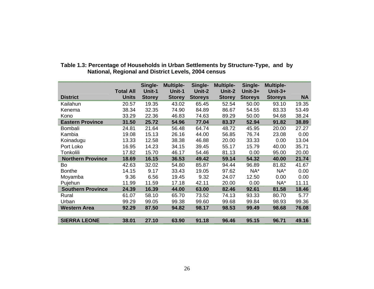|                          | <b>Total All</b> | Single-<br>Unit-1 | <b>Multiple-</b><br>Unit-1 | Single-<br>Unit-2 | <b>Multiple-</b><br>Unit-2 | Single-<br>Unit- $3+$ | <b>Multiple-</b><br>$Unit-3+$ |           |
|--------------------------|------------------|-------------------|----------------------------|-------------------|----------------------------|-----------------------|-------------------------------|-----------|
| <b>District</b>          | <b>Units</b>     | <b>Storey</b>     | <b>Storey</b>              | <b>Storeys</b>    | <b>Storey</b>              | <b>Storeys</b>        | <b>Storeys</b>                | <b>NA</b> |
| Kailahun                 | 20.57            | 19.35             | 43.02                      | 65.45             | 52.54                      | 50.00                 | 93.10                         | 19.35     |
| Kenema                   | 38.34            | 32.35             | 74.90                      | 84.89             | 86.67                      | 54.55                 | 83.33                         | 53.49     |
| Kono                     | 33.29            | 22.36             | 46.83                      | 74.63             | 89.29                      | 50.00                 | 94.68                         | 38.24     |
| <b>Eastern Province</b>  | 31.50            | 25.72             | 54.96                      | 77.04             | 83.37                      | 52.94                 | 91.82                         | 38.89     |
| Bombali                  | 24.81            | 21.64             | 56.48                      | 64.74             | 48.72                      | 45.95                 | 20.00                         | 27.27     |
| Kambia                   | 19.08            | 15.13             | 26.16                      | 44.00             | 56.85                      | 76.74                 | 23.08                         | 0.00      |
| Koinadugu                | 13.33            | 12.58             | 38.38                      | 46.88             | 20.00                      | 33.33                 | 0.00                          | 13.04     |
| Port Loko                | 16.95            | 14.23             | 34.15                      | 39.45             | 55.17                      | 15.79                 | 40.00                         | 35.71     |
| Tonkolili                | 17.82            | 15.70             | 46.17                      | 54.46             | 81.13                      | 0.00                  | 95.00                         | 20.00     |
| <b>Northern Province</b> | 18.69            | 16.15             | 36.53                      | 49.42             | 59.14                      | 54.32                 | 40.00                         | 21.74     |
| Bo                       | 42.63            | 32.02             | 54.80                      | 85.87             | 94.44                      | 96.89                 | 81.82                         | 41.67     |
| <b>Bonthe</b>            | 14.15            | 9.17              | 33.43                      | 19.05             | 97.62                      | NA*                   | NA*                           | 0.00      |
| Moyamba                  | 9.36             | 6.56              | 19.45                      | 9.32              | 24.07                      | 12.50                 | 0.00                          | 0.00      |
| Pujehun                  | 11.99            | 11.59             | 17.18                      | 42.11             | 20.00                      | 0.00                  | NA*                           | 11.11     |
| <b>Southern Province</b> | 24.39            | 16.39             | 44.00                      | 63.00             | 82.46                      | 92.61                 | 81.58                         | 18.46     |
| Rural                    | 61.07            | 58.10             | 65.70                      | 73.52             | 74.13                      | 93.33                 | 80.70                         | 5.77      |
| Urban                    | 99.29            | 99.05             | 99.38                      | 99.60             | 99.68                      | 99.84                 | 98.93                         | 99.36     |
| <b>Western Area</b>      | 92.29            | 87.50             | 94.82                      | 98.17             | 98.53                      | 99.49                 | 98.68                         | 76.08     |
|                          |                  |                   |                            |                   |                            |                       |                               |           |
| <b>SIERRA LEONE</b>      | 38.01            | 27.10             | 63.90                      | 91.18             | 96.46                      | 95.15                 | 96.71                         | 49.16     |

**Table 1.3: Percentage of Households in Urban Settlements by Structure-Type, and by National, Regional and District Levels, 2004 census**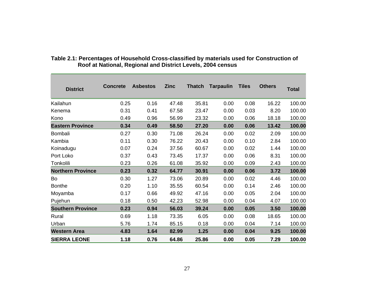| <b>District</b>          | <b>Concrete</b> | <b>Asbestos</b> | <b>Zinc</b> | <b>Thatch</b> | <b>Tarpaulin</b> | <b>Tiles</b> | <b>Others</b> | <b>Total</b> |
|--------------------------|-----------------|-----------------|-------------|---------------|------------------|--------------|---------------|--------------|
| Kailahun                 | 0.25            | 0.16            | 47.48       | 35.81         | 0.00             | 0.08         | 16.22         | 100.00       |
| Kenema                   | 0.31            | 0.41            | 67.58       | 23.47         | 0.00             | 0.03         | 8.20          | 100.00       |
| Kono                     | 0.49            | 0.96            | 56.99       | 23.32         | 0.00             | 0.06         | 18.18         | 100.00       |
| <b>Eastern Province</b>  | 0.34            | 0.49            | 58.50       | 27.20         | 0.00             | 0.06         | 13.42         | 100.00       |
| <b>Bombali</b>           | 0.27            | 0.30            | 71.08       | 26.24         | 0.00             | 0.02         | 2.09          | 100.00       |
| Kambia                   | 0.11            | 0.30            | 76.22       | 20.43         | 0.00             | 0.10         | 2.84          | 100.00       |
| Koinadugu                | 0.07            | 0.24            | 37.56       | 60.67         | 0.00             | 0.02         | 1.44          | 100.00       |
| Port Loko                | 0.37            | 0.43            | 73.45       | 17.37         | 0.00             | 0.06         | 8.31          | 100.00       |
| Tonkolili                | 0.23            | 0.26            | 61.08       | 35.92         | 0.00             | 0.09         | 2.43          | 100.00       |
| <b>Northern Province</b> | 0.23            | 0.32            | 64.77       | 30.91         | 0.00             | 0.06         | 3.72          | 100.00       |
| Bo                       | 0.30            | 1.27            | 73.06       | 20.89         | 0.00             | 0.02         | 4.46          | 100.00       |
| <b>Bonthe</b>            | 0.20            | 1.10            | 35.55       | 60.54         | 0.00             | 0.14         | 2.46          | 100.00       |
| Moyamba                  | 0.17            | 0.66            | 49.92       | 47.16         | 0.00             | 0.05         | 2.04          | 100.00       |
| Pujehun                  | 0.18            | 0.50            | 42.23       | 52.98         | 0.00             | 0.04         | 4.07          | 100.00       |
| <b>Southern Province</b> | 0.23            | 0.94            | 56.03       | 39.24         | 0.00             | 0.05         | 3.50          | 100.00       |
| Rural                    | 0.69            | 1.18            | 73.35       | 6.05          | 0.00             | 0.08         | 18.65         | 100.00       |
| Urban                    | 5.76            | 1.74            | 85.15       | 0.18          | 0.00             | 0.04         | 7.14          | 100.00       |
| <b>Western Area</b>      | 4.83            | 1.64            | 82.99       | 1.25          | 0.00             | 0.04         | 9.25          | 100.00       |
| <b>SIERRA LEONE</b>      | 1.18            | 0.76            | 64.86       | 25.86         | 0.00             | 0.05         | 7.29          | 100.00       |

#### **Table 2.1: Percentages of Household Cross-classified by materials used for Construction of Roof at National, Regional and District Levels, 2004 census**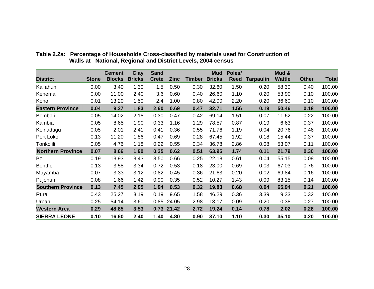|                          |              | <b>Cement</b> | <b>Clay</b>   | <b>Sand</b>  |             |               | <b>Mud</b>    | Poles/      |                  | Mud &         |              |              |
|--------------------------|--------------|---------------|---------------|--------------|-------------|---------------|---------------|-------------|------------------|---------------|--------------|--------------|
| <b>District</b>          | <b>Stone</b> | <b>Blocks</b> | <b>Bricks</b> | <b>Crete</b> | <b>Zinc</b> | <b>Timber</b> | <b>Bricks</b> | <b>Reed</b> | <b>Tarpaulin</b> | <b>Wattle</b> | <b>Other</b> | <b>Total</b> |
| Kailahun                 | 0.00         | 3.40          | 1.30          | 1.5          | 0.50        | 0.30          | 32.60         | 1.50        | 0.20             | 58.30         | 0.40         | 100.00       |
| Kenema                   | 0.00         | 11.00         | 2.40          | 3.6          | 0.60        | 0.40          | 26.60         | 1.10        | 0.20             | 53.90         | 0.10         | 100.00       |
| Kono                     | 0.01         | 13.20         | 1.50          | 2.4          | 1.00        | 0.80          | 42.00         | 2.20        | 0.20             | 36.60         | 0.10         | 100.00       |
| <b>Eastern Province</b>  | 0.04         | 9.27          | 1.83          | 2.60         | 0.69        | 0.47          | 32.71         | 1.56        | 0.19             | 50.46         | 0.18         | 100.00       |
| <b>Bombali</b>           | 0.05         | 14.02         | 2.18          | 0.30         | 0.47        | 0.42          | 69.14         | 1.51        | 0.07             | 11.62         | 0.22         | 100.00       |
| Kambia                   | 0.05         | 8.65          | 1.90          | 0.33         | 1.16        | 1.29          | 78.57         | 0.87        | 0.19             | 6.63          | 0.37         | 100.00       |
| Koinadugu                | 0.05         | 2.01          | 2.41          | 0.41         | 0.36        | 0.55          | 71.76         | 1.19        | 0.04             | 20.76         | 0.46         | 100.00       |
| Port Loko                | 0.13         | 11.20         | 1.86          | 0.47         | 0.69        | 0.28          | 67.45         | 1.92        | 0.18             | 15.44         | 0.37         | 100.00       |
| Tonkolili                | 0.05         | 4.76          | 1.18          | 0.22         | 0.55        | 0.34          | 36.78         | 2.86        | 0.08             | 53.07         | 0.11         | 100.00       |
| <b>Northern Province</b> | 0.07         | 8.66          | 1.90          | 0.35         | 0.62        | 0.51          | 63.95         | 1.74        | 0.11             | 21.79         | 0.30         | 100.00       |
| Bo                       | 0.19         | 13.93         | 3.43          | 3.50         | 0.66        | 0.25          | 22.18         | 0.61        | 0.04             | 55.15         | 0.08         | 100.00       |
| <b>Bonthe</b>            | 0.13         | 3.58          | 3.34          | 0.72         | 0.53        | 0.18          | 23.00         | 0.69        | 0.03             | 67.03         | 0.76         | 100.00       |
| Moyamba                  | 0.07         | 3.33          | 3.12          | 0.82         | 0.45        | 0.36          | 21.63         | 0.20        | 0.02             | 69.84         | 0.16         | 100.00       |
| Pujehun                  | 0.08         | 1.66          | 1.42          | 0.90         | 0.35        | 0.52          | 10.27         | 1.43        | 0.09             | 83.15         | 0.14         | 100.00       |
| <b>Southern Province</b> | 0.13         | 7.45          | 2.95          | 1.94         | 0.53        | 0.32          | 19.83         | 0.68        | 0.04             | 65.94         | 0.21         | 100.00       |
| Rural                    | 0.43         | 25.27         | 3.19          | 0.19         | 9.65        | 1.58          | 46.29         | 0.36        | 3.39             | 9.33          | 0.32         | 100.00       |
| Urban                    | 0.25         | 54.14         | 3.60          | 0.85         | 24.05       | 2.98          | 13.17         | 0.09        | 0.20             | 0.38          | 0.27         | 100.00       |
| <b>Western Area</b>      | 0.29         | 48.85         | 3.53          |              | 0.73 21.42  | 2.72          | 19.24         | 0.14        | 0.78             | 2.02          | 0.28         | 100.00       |
| <b>SIERRA LEONE</b>      | 0.10         | 16.60         | 2.40          | 1.40         | 4.80        | 0.90          | 37.10         | 1.10        | 0.30             | 35.10         | 0.20         | 100.00       |

**Table 2.2a: Percentage of Households Cross-classified by materials used for Construction of Walls at National, Regional and District Levels, 2004 census**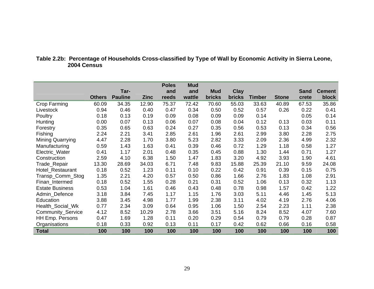#### **Table 2.2b: Percentage of Households Cross-classified by Type of Wall by Economic Activity in Sierra Leone, 2004 Census**

|                         |               |                |             | <b>Poles</b> | <b>Mud</b> |               |               |               |              |             |               |
|-------------------------|---------------|----------------|-------------|--------------|------------|---------------|---------------|---------------|--------------|-------------|---------------|
|                         |               | Tar-           |             | and          | and        | <b>Mud</b>    | <b>Clay</b>   |               |              | <b>Sand</b> | <b>Cement</b> |
|                         | <b>Others</b> | <b>Pauline</b> | <b>Zinc</b> | reeds        | wattle     | <b>bricks</b> | <b>bricks</b> | <b>Timber</b> | <b>Stone</b> | crete       | block         |
| Crop Farming            | 60.09         | 34.35          | 12.90       | 75.37        | 72.42      | 70.60         | 55.03         | 33.63         | 40.89        | 67.53       | 35.86         |
| Livestock               | 0.94          | 0.46           | 0.40        | 0.47         | 0.34       | 0.50          | 0.52          | 0.57          | 0.26         | 0.22        | 0.41          |
| Poultry                 | 0.18          | 0.13           | 0.19        | 0.09         | 0.08       | 0.09          | 0.09          | 0.14          |              | 0.05        | 0.14          |
| Hunting                 | 0.00          | 0.07           | 0.13        | 0.06         | 0.07       | 0.08          | 0.04          | 0.12          | 0.13         | 0.03        | 0.11          |
| Forestry                | 0.35          | 0.65           | 0.63        | 0.24         | 0.27       | 0.35          | 0.56          | 0.53          | 0.13         | 0.34        | 0.56          |
| Fishing                 | 2.24          | 2.21           | 3.41        | 2.85         | 2.61       | 1.96          | 2.61          | 2.99          | 3.80         | 2.28        | 2.75          |
| <b>Mining Quarrying</b> | 4.47          | 2.28           | 1.70        | 3.80         | 5.23       | 2.82          | 3.33          | 2.09          | 2.36         | 4.99        | 2.32          |
| Manufacturing           | 0.59          | 1.43           | 1.63        | 0.41         | 0.39       | 0.46          | 0.72          | 1.29          | 1.18         | 0.58        | 1.27          |
| Electric_Water          | 0.41          | 1.17           | 2.01        | 0.48         | 0.35       | 0.45          | 0.88          | 1.30          | 1.44         | 0.71        | 1.27          |
| Construction            | 2.59          | 4.10           | 6.38        | 1.50         | 1.47       | 1.83          | 3.20          | 4.92          | 3.93         | 1.90        | 4.61          |
| Trade_Repair            | 13.30         | 28.69          | 34.03       | 6.71         | 7.48       | 9.83          | 15.88         | 25.39         | 21.10        | 9.59        | 24.08         |
| Hotel_Restaurant        | 0.18          | 0.52           | 1.23        | 0.11         | 0.10       | 0.22          | 0.42          | 0.91          | 0.39         | 0.15        | 0.75          |
| Transp_Comm_Stog        | 1.35          | 2.21           | 4.20        | 0.57         | 0.50       | 0.86          | 1.66          | 2.76          | 1.83         | 1.08        | 2.91          |
| Finan_Intermed          | 0.18          | 0.52           | 1.55        | 0.28         | 0.21       | 0.31          | 0.52          | 1.06          | 0.13         | 0.32        | 1.13          |
| <b>Estate Business</b>  | 0.53          | 1.04           | 1.61        | 0.46         | 0.43       | 0.48          | 0.78          | 0.98          | 1.57         | 0.42        | 1.22          |
| Admin_Defence           | 3.18          | 3.84           | 7.45        | 1.17         | 1.15       | 1.76          | 3.03          | 5.11          | 4.46         | 1.45        | 5.13          |
| Education               | 3.88          | 3.45           | 4.98        | 1.77         | 1.99       | 2.38          | 3.11          | 4.02          | 4.19         | 2.76        | 4.06          |
| Health_Social_Wk        | 0.77          | 2.34           | 3.09        | 0.64         | 0.95       | 1.06          | 1.50          | 2.54          | 2.23         | 1.11        | 2.38          |
| Community_Service       | 4.12          | 8.52           | 10.29       | 2.78         | 3.66       | 3.51          | 5.16          | 8.24          | 8.52         | 4.07        | 7.60          |
| HH Emp. Persons         | 0.47          | 1.69           | 1.28        | 0.11         | 0.20       | 0.29          | 0.54          | 0.79          | 0.79         | 0.28        | 0.87          |
| Organisations           | 0.18          | 0.33           | 0.92        | 0.13         | 0.11       | 0.17          | 0.42          | 0.62          | 0.66         | 0.16        | 0.58          |
| <b>Total</b>            | 100           | 100            | 100         | 100          | 100        | 100           | 100           | 100           | 100          | 100         | 100           |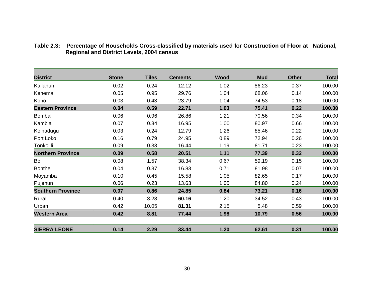| <b>District</b>          | <b>Stone</b> | <b>Tiles</b> | <b>Cements</b> | Wood | <b>Mud</b> | <b>Other</b> | <b>Total</b> |
|--------------------------|--------------|--------------|----------------|------|------------|--------------|--------------|
| Kailahun                 | 0.02         | 0.24         | 12.12          | 1.02 | 86.23      | 0.37         | 100.00       |
| Kenema                   | 0.05         | 0.95         | 29.76          | 1.04 | 68.06      | 0.14         | 100.00       |
| Kono                     | 0.03         | 0.43         | 23.79          | 1.04 | 74.53      | 0.18         | 100.00       |
| <b>Eastern Province</b>  | 0.04         | 0.59         | 22.71          | 1.03 | 75.41      | 0.22         | 100.00       |
| Bombali                  | 0.06         | 0.96         | 26.86          | 1.21 | 70.56      | 0.34         | 100.00       |
| Kambia                   | 0.07         | 0.34         | 16.95          | 1.00 | 80.97      | 0.66         | 100.00       |
| Koinadugu                | 0.03         | 0.24         | 12.79          | 1.26 | 85.46      | 0.22         | 100.00       |
| Port Loko                | 0.16         | 0.79         | 24.95          | 0.89 | 72.94      | 0.26         | 100.00       |
| Tonkolili                | 0.09         | 0.33         | 16.44          | 1.19 | 81.71      | 0.23         | 100.00       |
| <b>Northern Province</b> | 0.09         | 0.58         | 20.51          | 1.11 | 77.39      | 0.32         | 100.00       |
| Bo                       | 0.08         | 1.57         | 38.34          | 0.67 | 59.19      | 0.15         | 100.00       |
| <b>Bonthe</b>            | 0.04         | 0.37         | 16.83          | 0.71 | 81.98      | 0.07         | 100.00       |
| Moyamba                  | 0.10         | 0.45         | 15.58          | 1.05 | 82.65      | 0.17         | 100.00       |
| Pujehun                  | 0.06         | 0.23         | 13.63          | 1.05 | 84.80      | 0.24         | 100.00       |
| <b>Southern Province</b> | 0.07         | 0.86         | 24.85          | 0.84 | 73.21      | 0.16         | 100.00       |
| Rural                    | 0.40         | 3.28         | 60.16          | 1.20 | 34.52      | 0.43         | 100.00       |
| Urban                    | 0.42         | 10.05        | 81.31          | 2.15 | 5.48       | 0.59         | 100.00       |
| <b>Western Area</b>      | 0.42         | 8.81         | 77.44          | 1.98 | 10.79      | 0.56         | 100.00       |
| <b>SIERRA LEONE</b>      | 0.14         | 2.29         | 33.44          | 1.20 | 62.61      | 0.31         | 100.00       |

#### **Table 2.3: Percentage of Households Cross-classified by materials used for Construction of Floor at National, Regional and District Levels, 2004 census**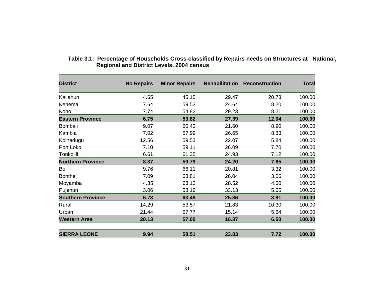| <b>District</b>          | <b>No Repairs</b> | <b>Minor Repairs</b> | <b>Rehabilitation</b> | <b>Reconstruction</b> | <b>Total</b> |
|--------------------------|-------------------|----------------------|-----------------------|-----------------------|--------------|
| Kailahun                 | 4.65              | 45.15                | 29.47                 | 20.73                 | 100.00       |
| Kenema                   | 7.64              | 59.52                | 24.64                 | 8.20                  | 100.00       |
| Kono                     | 7.74              | 54.82                | 29.23                 | 8.21                  | 100.00       |
| <b>Eastern Province</b>  | 6.75              | 53.82                | 27.39                 | 12.04                 | 100.00       |
| Bombali                  | 9.07              | 60.43                | 21.60                 | 8.90                  | 100.00       |
| Kambia                   | 7.02              | 57.99                | 26.65                 | 8.33                  | 100.00       |
| Koinadugu                | 12.56             | 59.53                | 22.07                 | 5.84                  | 100.00       |
| Port Loko                | 7.10              | 59.11                | 26.09                 | 7.70                  | 100.00       |
| Tonkolili                | 6.61              | 61.35                | 24.93                 | 7.12                  | 100.00       |
| <b>Northern Province</b> | 8.37              | 59.79                | 24.20                 | 7.65                  | 100.00       |
| Bo                       | 9.76              | 66.11                | 20.81                 | 3.32                  | 100.00       |
| <b>Bonthe</b>            | 7.09              | 63.81                | 26.04                 | 3.06                  | 100.00       |
| Moyamba                  | 4.35              | 63.13                | 28.52                 | 4.00                  | 100.00       |
| Pujehun                  | 3.06              | 58.16                | 33.13                 | 5.65                  | 100.00       |
| <b>Southern Province</b> | 6.73              | 63.49                | 25.86                 | 3.91                  | 100.00       |
| Rural                    | 14.29             | 53.57                | 21.83                 | 10.30                 | 100.00       |
| Urban                    | 21.44             | 57.77                | 15.14                 | 5.64                  | 100.00       |
| <b>Western Area</b>      | 20.13             | 57.00                | 16.37                 | 6.50                  | 100.00       |
| <b>SIERRA LEONE</b>      | 9.94              | 58.51                | 23.83                 | 7.72                  | 100.00       |

#### **Table 3.1: Percentage of Households Cross-classified by Repairs needs on Structures at National, Regional and District Levels, 2004 census**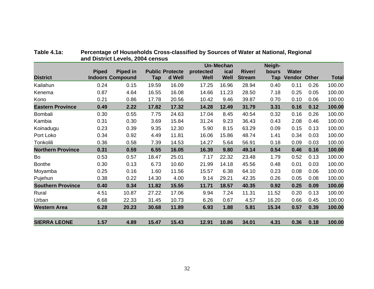|                          |              |                         |       |                        |           | <b>Un-Mechan</b> |               | Neigh- |              |      |              |
|--------------------------|--------------|-------------------------|-------|------------------------|-----------|------------------|---------------|--------|--------------|------|--------------|
|                          | <b>Piped</b> | Piped in                |       | <b>Public Protecte</b> | protected | ical             | River/        | bours  | <b>Water</b> |      |              |
| <b>District</b>          |              | <b>Indoors Compound</b> | Tap   | d Well                 | Well      | <b>Well</b>      | <b>Stream</b> | Tap    | Vendor Other |      | <b>Total</b> |
| Kailahun                 | 0.24         | 0.15                    | 19.59 | 16.09                  | 17.25     | 16.96            | 28.94         | 0.40   | 0.11         | 0.26 | 100.00       |
| Kenema                   | 0.87         | 4.64                    | 16.55 | 16.08                  | 14.66     | 11.23            | 28.50         | 7.18   | 0.25         | 0.05 | 100.00       |
| Kono                     | 0.21         | 0.86                    | 17.78 | 20.56                  | 10.42     | 9.46             | 39.87         | 0.70   | 0.10         | 0.06 | 100.00       |
| <b>Eastern Province</b>  | 0.49         | 2.22                    | 17.82 | 17.32                  | 14.28     | 12.49            | 31.79         | 3.31   | 0.16         | 0.12 | 100.00       |
| Bombali                  | 0.30         | 0.55                    | 7.75  | 24.63                  | 17.04     | 8.45             | 40.54         | 0.32   | 0.16         | 0.26 | 100.00       |
| Kambia                   | 0.31         | 0.30                    | 3.69  | 15.84                  | 31.24     | 9.23             | 36.43         | 0.43   | 2.08         | 0.46 | 100.00       |
| Koinadugu                | 0.23         | 0.39                    | 9.35  | 12.30                  | 5.90      | 8.15             | 63.29         | 0.09   | 0.15         | 0.13 | 100.00       |
| Port Loko                | 0.34         | 0.92                    | 4.49  | 11.81                  | 16.06     | 15.86            | 48.74         | 1.41   | 0.34         | 0.03 | 100.00       |
| Tonkolili                | 0.36         | 0.58                    | 7.39  | 14.53                  | 14.27     | 5.64             | 56.91         | 0.18   | 0.09         | 0.03 | 100.00       |
| <b>Northern Province</b> | 0.31         | 0.59                    | 6.55  | 16.05                  | 16.39     | 9.80             | 49.14         | 0.54   | 0.46         | 0.16 | 100.00       |
| Bo                       | 0.53         | 0.57                    | 18.47 | 25.01                  | 7.17      | 22.32            | 23.48         | 1.79   | 0.52         | 0.13 | 100.00       |
| <b>Bonthe</b>            | 0.30         | 0.13                    | 6.73  | 10.60                  | 21.99     | 14.18            | 45.56         | 0.48   | 0.01         | 0.03 | 100.00       |
| Moyamba                  | 0.25         | 0.16                    | 1.60  | 11.56                  | 15.57     | 6.38             | 64.10         | 0.23   | 0.08         | 0.06 | 100.00       |
| Pujehun                  | 0.38         | 0.22                    | 14.30 | 4.00                   | 9.14      | 29.21            | 42.35         | 0.26   | 0.05         | 0.08 | 100.00       |
| <b>Southern Province</b> | 0.40         | 0.34                    | 11.82 | 15.55                  | 11.71     | 18.57            | 40.35         | 0.92   | 0.25         | 0.09 | 100.00       |
| Rural                    | 4.51         | 10.87                   | 27.22 | 17.06                  | 9.94      | 7.24             | 11.31         | 11.52  | 0.20         | 0.13 | 100.00       |
| Urban                    | 6.68         | 22.33                   | 31.45 | 10.73                  | 6.26      | 0.67             | 4.57          | 16.20  | 0.66         | 0.45 | 100.00       |
| <b>Western Area</b>      | 6.28         | 20.23                   | 30.68 | 11.89                  | 6.93      | 1.88             | 5.81          | 15.34  | 0.57         | 0.39 | 100.00       |
| <b>SIERRA LEONE</b>      | 1.57         | 4.89                    | 15.47 | 15.43                  | 12.91     | 10.86            | 34.01         | 4.31   | 0.36         | 0.18 | 100.00       |

#### **Table 4.1a: Percentage of Households Cross-classified by Sources of Water at National, Regional and District Levels, 2004 census**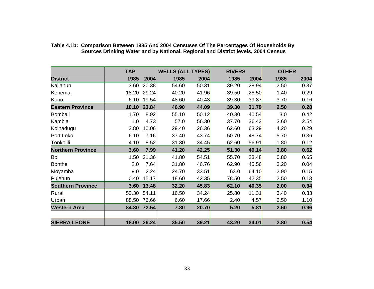|                          | <b>TAP</b> |       | <b>WELLS (ALL TYPES)</b> |       | <b>RIVERS</b> |       | <b>OTHER</b> |      |
|--------------------------|------------|-------|--------------------------|-------|---------------|-------|--------------|------|
| <b>District</b>          | 1985       | 2004  | 1985                     | 2004  | 1985          | 2004  | 1985         | 2004 |
| Kailahun                 | 3.60       | 20.38 | 54.60                    | 50.31 | 39.20         | 28.94 | 2.50         | 0.37 |
| Kenema                   | 18.20      | 29.24 | 40.20                    | 41.96 | 39.50         | 28.50 | 1.40         | 0.29 |
| Kono                     | 6.10       | 19.54 | 48.60                    | 40.43 | 39.30         | 39.87 | 3.70         | 0.16 |
| <b>Eastern Province</b>  | 10.10      | 23.84 | 46.90                    | 44.09 | 39.30         | 31.79 | 2.50         | 0.28 |
| Bombali                  | 1.70       | 8.92  | 55.10                    | 50.12 | 40.30         | 40.54 | 3.0          | 0.42 |
| Kambia                   | 1.0        | 4.73  | 57.0                     | 56.30 | 37.70         | 36.43 | 3.60         | 2.54 |
| Koinadugu                | 3.80       | 10.06 | 29.40                    | 26.36 | 62.60         | 63.29 | 4.20         | 0.29 |
| Port Loko                | 6.10       | 7.16  | 37.40                    | 43.74 | 50.70         | 48.74 | 5.70         | 0.36 |
| Tonkolili                | 4.10       | 8.52  | 31.30                    | 34.45 | 62.60         | 56.91 | 1.80         | 0.12 |
| <b>Northern Province</b> | 3.60       | 7.99  | 41.20                    | 42.25 | 51.30         | 49.14 | 3.80         | 0.62 |
| Bo                       | 1.50       | 21.36 | 41.80                    | 54.51 | 55.70         | 23.48 | 0.80         | 0.65 |
| <b>Bonthe</b>            | 2.0        | 7.64  | 31.80                    | 46.76 | 62.90         | 45.56 | 3.20         | 0.04 |
| Moyamba                  | 9.0        | 2.24  | 24.70                    | 33.51 | 63.0          | 64.10 | 2.90         | 0.15 |
| Pujehun                  | 0.40       | 15.17 | 18.60                    | 42.35 | 78.50         | 42.35 | 2.50         | 0.13 |
| <b>Southern Province</b> | 3.60       | 13.48 | 32.20                    | 45.83 | 62.10         | 40.35 | 2.00         | 0.34 |
| Rural                    | 50.30      | 54.11 | 16.50                    | 34.24 | 25.80         | 11.31 | 3.40         | 0.33 |
| Urban                    | 88.50      | 76.66 | 6.60                     | 17.66 | 2.40          | 4.57  | 2.50         | 1.10 |
| <b>Western Area</b>      | 84.30      | 72.54 | 7.80                     | 20.70 | 5.20          | 5.81  | 2.60         | 0.96 |
|                          |            |       |                          |       |               |       |              |      |
| <b>SIERRA LEONE</b>      | 18.00      | 26.24 | 35.50                    | 39.21 | 43.20         | 34.01 | 2.80         | 0.54 |

**Table 4.1b: Comparison Between 1985 And 2004 Censuses Of The Percentages Of Households By Sources Drinking Water and by National, Regional and District levels, 2004 Census**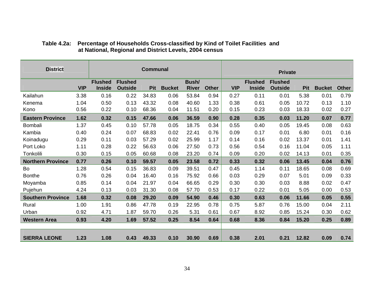| <b>District</b>          |            |                                 |                                  | <b>Communal</b> |               |                       |              |            |                                 | <b>Private</b>                   |            |               |              |
|--------------------------|------------|---------------------------------|----------------------------------|-----------------|---------------|-----------------------|--------------|------------|---------------------------------|----------------------------------|------------|---------------|--------------|
|                          | <b>VIP</b> | <b>Flushed</b><br><b>Inside</b> | <b>Flushed</b><br><b>Outside</b> | Pit             | <b>Bucket</b> | Bush/<br><b>River</b> | <b>Other</b> | <b>VIP</b> | <b>Flushed</b><br><b>Inside</b> | <b>Flushed</b><br><b>Outside</b> | <b>Pit</b> | <b>Bucket</b> | <b>Other</b> |
| Kailahun                 | 3.38       | 0.16                            | 0.22                             | 34.83           | 0.06          | 53.84                 | 0.94         | 0.27       | 0.11                            | 0.01                             | 5.38       | 0.01          | 0.79         |
| Kenema                   | 1.04       | 0.50                            | 0.13                             | 43.32           | 0.08          | 40.60                 | 1.33         | 0.38       | 0.61                            | 0.05                             | 10.72      | 0.13          | 1.10         |
| Kono                     | 0.56       | 0.22                            | 0.10                             | 68.36           | 0.04          | 11.51                 | 0.20         | 0.15       | 0.23                            | 0.03                             | 18.33      | 0.02          | 0.27         |
| <b>Eastern Province</b>  | 1.62       | 0.32                            | 0.15                             | 47.66           | 0.06          | 36.59                 | 0.90         | 0.28       | 0.35                            | 0.03                             | 11.20      | 0.07          | 0.77         |
| Bombali                  | 1.37       | 0.45                            | 0.10                             | 57.78           | 0.05          | 18.75                 | 0.34         | 0.55       | 0.40                            | 0.05                             | 19.45      | 0.08          | 0.63         |
| Kambia                   | 0.40       | 0.24                            | 0.07                             | 68.83           | 0.02          | 22.41                 | 0.76         | 0.09       | 0.17                            | 0.01                             | 6.80       | 0.01          | 0.16         |
| Koinadugu                | 0.29       | 0.11                            | 0.03                             | 57.29           | 0.02          | 25.99                 | 1.17         | 0.14       | 0.16                            | 0.02                             | 13.37      | 0.01          | 1.41         |
| Port Loko                | 1.11       | 0.28                            | 0.22                             | 56.63           | 0.06          | 27.50                 | 0.73         | 0.56       | 0.54                            | 0.16                             | 11.04      | 0.05          | 1.11         |
| Tonkolili                | 0.30       | 0.15                            | 0.05                             | 60.68           | 0.08          | 23.20                 | 0.74         | 0.09       | 0.20                            | 0.02                             | 14.13      | 0.01          | 0.35         |
| <b>Northern Province</b> | 0.77       | 0.26                            | 0.10                             | 59.57           | 0.05          | 23.58                 | 0.72         | 0.33       | 0.32                            | 0.06                             | 13.45      | 0.04          | 0.76         |
| Bo                       | 1.28       | 0.54                            | 0.15                             | 36.83           | 0.09          | 39.51                 | 0.47         | 0.45       | 1.14                            | 0.11                             | 18.65      | 0.08          | 0.69         |
| <b>Bonthe</b>            | 0.76       | 0.26                            | 0.04                             | 16.40           | 0.16          | 75.92                 | 0.66         | 0.03       | 0.29                            | 0.07                             | 5.01       | 0.09          | 0.33         |
| Moyamba                  | 0.85       | 0.14                            | 0.04                             | 21.97           | 0.04          | 66.65                 | 0.29         | 0.30       | 0.30                            | 0.03                             | 8.88       | 0.02          | 0.47         |
| Pujehun                  | 4.24       | 0.13                            | 0.03                             | 31.30           | 0.08          | 57.70                 | 0.53         | 0.17       | 0.22                            | 0.01                             | 5.05       | 0.00          | 0.53         |
| <b>Southern Province</b> | 1.68       | 0.32                            | 0.08                             | 29.20           | 0.09          | 54.90                 | 0.46         | 0.30       | 0.63                            | 0.06                             | 11.66      | 0.05          | 0.55         |
| Rural                    | 1.00       | 1.91                            | 0.86                             | 47.78           | 0.19          | 22.95                 | 0.78         | 0.75       | 5.87                            | 0.76                             | 15.00      | 0.04          | 2.11         |
| Urban                    | 0.92       | 4.71                            | 1.87                             | 59.70           | 0.26          | 5.31                  | 0.61         | 0.67       | 8.92                            | 0.85                             | 15.24      | 0.30          | 0.62         |
| <b>Western Area</b>      | 0.93       | 4.20                            | 1.69                             | 57.52           | 0.25          | 8.54                  | 0.64         | 0.68       | 8.36                            | 0.84                             | 15.20      | 0.25          | 0.89         |
|                          |            |                                 |                                  |                 |               |                       |              |            |                                 |                                  |            |               |              |
| <b>SIERRA LEONE</b>      | 1.23       | 1.08                            | 0.43                             | 49.33           | 0.10          | 30.90                 | 0.69         | 0.38       | 2.01                            | 0.21                             | 12.82      | 0.09          | 0.74         |

#### **Table 4.2a: Percentage of Households Cross-classified by Kind of Toilet Facilities and at National, Regional and District Levels, 2004 census**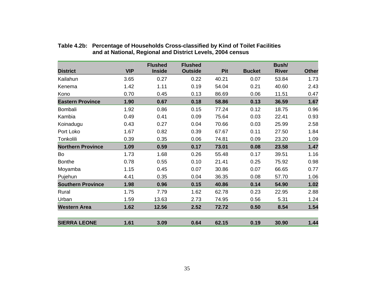|                          |            | <b>Flushed</b> | <b>Flushed</b> |            |               | Bush/        |              |
|--------------------------|------------|----------------|----------------|------------|---------------|--------------|--------------|
| <b>District</b>          | <b>VIP</b> | <b>Inside</b>  | <b>Outside</b> | <b>Pit</b> | <b>Bucket</b> | <b>River</b> | <b>Other</b> |
| Kailahun                 | 3.65       | 0.27           | 0.22           | 40.21      | 0.07          | 53.84        | 1.73         |
| Kenema                   | 1.42       | 1.11           | 0.19           | 54.04      | 0.21          | 40.60        | 2.43         |
| Kono                     | 0.70       | 0.45           | 0.13           | 86.69      | 0.06          | 11.51        | 0.47         |
| <b>Eastern Province</b>  | 1.90       | 0.67           | 0.18           | 58.86      | 0.13          | 36.59        | 1.67         |
| Bombali                  | 1.92       | 0.86           | 0.15           | 77.24      | 0.12          | 18.75        | 0.96         |
| Kambia                   | 0.49       | 0.41           | 0.09           | 75.64      | 0.03          | 22.41        | 0.93         |
| Koinadugu                | 0.43       | 0.27           | 0.04           | 70.66      | 0.03          | 25.99        | 2.58         |
| Port Loko                | 1.67       | 0.82           | 0.39           | 67.67      | 0.11          | 27.50        | 1.84         |
| Tonkolili                | 0.39       | 0.35           | 0.06           | 74.81      | 0.09          | 23.20        | 1.09         |
| <b>Northern Province</b> | 1.09       | 0.59           | 0.17           | 73.01      | 0.08          | 23.58        | 1.47         |
| Bo                       | 1.73       | 1.68           | 0.26           | 55.48      | 0.17          | 39.51        | 1.16         |
| <b>Bonthe</b>            | 0.78       | 0.55           | 0.10           | 21.41      | 0.25          | 75.92        | 0.98         |
| Moyamba                  | 1.15       | 0.45           | 0.07           | 30.86      | 0.07          | 66.65        | 0.77         |
| Pujehun                  | 4.41       | 0.35           | 0.04           | 36.35      | 0.08          | 57.70        | 1.06         |
| <b>Southern Province</b> | 1.98       | 0.96           | 0.15           | 40.86      | 0.14          | 54.90        | 1.02         |
| Rural                    | 1.75       | 7.79           | 1.62           | 62.78      | 0.23          | 22.95        | 2.88         |
| Urban                    | 1.59       | 13.63          | 2.73           | 74.95      | 0.56          | 5.31         | 1.24         |
| <b>Western Area</b>      | 1.62       | 12.56          | 2.52           | 72.72      | 0.50          | 8.54         | 1.54         |
| <b>SIERRA LEONE</b>      | 1.61       | 3.09           | 0.64           | 62.15      | 0.19          | 30.90        | 1.44         |

#### **Table 4.2b: Percentage of Households Cross-classified by Kind of Toilet Facilities and at National, Regional and District Levels, 2004 census**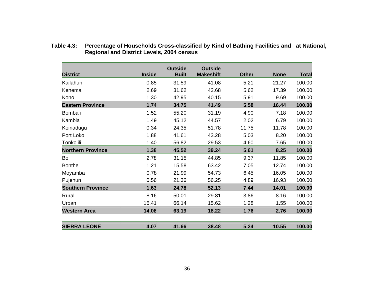|                          |               | <b>Outside</b> | <b>Outside</b>   |              |             |              |
|--------------------------|---------------|----------------|------------------|--------------|-------------|--------------|
| <b>District</b>          | <b>Inside</b> | <b>Built</b>   | <b>Makeshift</b> | <b>Other</b> | <b>None</b> | <b>Total</b> |
| Kailahun                 | 0.85          | 31.59          | 41.08            | 5.21         | 21.27       | 100.00       |
| Kenema                   | 2.69          | 31.62          | 42.68            | 5.62         | 17.39       | 100.00       |
| Kono                     | 1.30          | 42.95          | 40.15            | 5.91         | 9.69        | 100.00       |
| <b>Eastern Province</b>  | 1.74          | 34.75          | 41.49            | 5.58         | 16.44       | 100.00       |
| Bombali                  | 1.52          | 55.20          | 31.19            | 4.90         | 7.18        | 100.00       |
| Kambia                   | 1.49          | 45.12          | 44.57            | 2.02         | 6.79        | 100.00       |
| Koinadugu                | 0.34          | 24.35          | 51.78            | 11.75        | 11.78       | 100.00       |
| Port Loko                | 1.88          | 41.61          | 43.28            | 5.03         | 8.20        | 100.00       |
| Tonkolili                | 1.40          | 56.82          | 29.53            | 4.60         | 7.65        | 100.00       |
| <b>Northern Province</b> | 1.38          | 45.52          | 39.24            | 5.61         | 8.25        | 100.00       |
| Bo                       | 2.78          | 31.15          | 44.85            | 9.37         | 11.85       | 100.00       |
| <b>Bonthe</b>            | 1.21          | 15.58          | 63.42            | 7.05         | 12.74       | 100.00       |
| Moyamba                  | 0.78          | 21.99          | 54.73            | 6.45         | 16.05       | 100.00       |
| Pujehun                  | 0.56          | 21.36          | 56.25            | 4.89         | 16.93       | 100.00       |
| <b>Southern Province</b> | 1.63          | 24.78          | 52.13            | 7.44         | 14.01       | 100.00       |
| Rural                    | 8.16          | 50.01          | 29.81            | 3.86         | 8.16        | 100.00       |
| Urban                    | 15.41         | 66.14          | 15.62            | 1.28         | 1.55        | 100.00       |
| <b>Western Area</b>      | 14.08         | 63.19          | 18.22            | 1.76         | 2.76        | 100.00       |
|                          |               |                |                  |              |             |              |
| <b>SIERRA LEONE</b>      | 4.07          | 41.66          | 38.48            | 5.24         | 10.55       | 100.00       |

**Table 4.3: Percentage of Households Cross-classified by Kind of Bathing Facilities and at National, Regional and District Levels, 2004 census**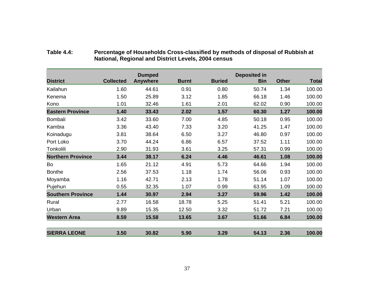|                          |                  | <b>Dumped</b>   |              |               | <b>Deposited in</b> |              |              |
|--------------------------|------------------|-----------------|--------------|---------------|---------------------|--------------|--------------|
| <b>District</b>          | <b>Collected</b> | <b>Anywhere</b> | <b>Burnt</b> | <b>Buried</b> | <b>Bin</b>          | <b>Other</b> | <b>Total</b> |
| Kailahun                 | 1.60             | 44.61           | 0.91         | 0.80          | 50.74               | 1.34         | 100.00       |
| Kenema                   | 1.50             | 25.89           | 3.12         | 1.85          | 66.18               | 1.46         | 100.00       |
| Kono                     | 1.01             | 32.46           | 1.61         | 2.01          | 62.02               | 0.90         | 100.00       |
| <b>Eastern Province</b>  | 1.40             | 33.43           | 2.02         | 1.57          | 60.30               | 1.27         | 100.00       |
| Bombali                  | 3.42             | 33.60           | 7.00         | 4.85          | 50.18               | 0.95         | 100.00       |
| Kambia                   | 3.36             | 43.40           | 7.33         | 3.20          | 41.25               | 1.47         | 100.00       |
| Koinadugu                | 3.81             | 38.64           | 6.50         | 3.27          | 46.80               | 0.97         | 100.00       |
| Port Loko                | 3.70             | 44.24           | 6.86         | 6.57          | 37.52               | 1.11         | 100.00       |
| Tonkolili                | 2.90             | 31.93           | 3.61         | 3.25          | 57.31               | 0.99         | 100.00       |
| <b>Northern Province</b> | 3.44             | 38.17           | 6.24         | 4.46          | 46.61               | 1.08         | 100.00       |
| Bo                       | 1.65             | 21.12           | 4.91         | 5.73          | 64.66               | 1.94         | 100.00       |
| <b>Bonthe</b>            | 2.56             | 37.53           | 1.18         | 1.74          | 56.06               | 0.93         | 100.00       |
| Moyamba                  | 1.16             | 42.71           | 2.13         | 1.78          | 51.14               | 1.07         | 100.00       |
| Pujehun                  | 0.55             | 32.35           | 1.07         | 0.99          | 63.95               | 1.09         | 100.00       |
| <b>Southern Province</b> | 1.44             | 30.97           | 2.94         | 3.27          | 59.96               | 1.42         | 100.00       |
| Rural                    | 2.77             | 16.58           | 18.78        | 5.25          | 51.41               | 5.21         | 100.00       |
| Urban                    | 9.89             | 15.35           | 12.50        | 3.32          | 51.72               | 7.21         | 100.00       |
| <b>Western Area</b>      | 8.59             | 15.58           | 13.65        | 3.67          | 51.66               | 6.84         | 100.00       |
| <b>SIERRA LEONE</b>      | 3.50             | 30.82           | 5.90         | 3.29          | 54.13               | 2.36         | 100.00       |

#### **Table 4.4: Percentage of Households Cross-classified by methods of disposal of Rubbish at National, Regional and District Levels, 2004 census**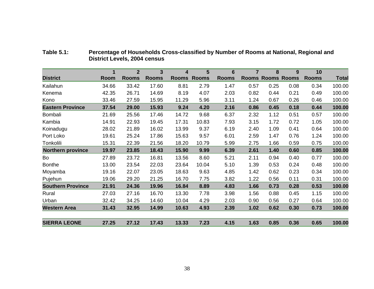|                          | 1           | $\mathbf{2}$ | 3            | 4            | 5            | $6\phantom{1}6$ | $\overline{7}$ | 8                  | 9            | 10           |              |
|--------------------------|-------------|--------------|--------------|--------------|--------------|-----------------|----------------|--------------------|--------------|--------------|--------------|
| <b>District</b>          | <b>Room</b> | <b>Rooms</b> | <b>Rooms</b> | <b>Rooms</b> | <b>Rooms</b> | <b>Rooms</b>    |                | <b>Rooms Rooms</b> | <b>Rooms</b> | <b>Rooms</b> | <b>Total</b> |
| Kailahun                 | 34.66       | 33.42        | 17.60        | 8.81         | 2.79         | 1.47            | 0.57           | 0.25               | 0.08         | 0.34         | 100.00       |
| Kenema                   | 42.35       | 26.71        | 14.69        | 8.19         | 4.07         | 2.03            | 0.82           | 0.44               | 0.21         | 0.49         | 100.00       |
| Kono                     | 33.46       | 27.59        | 15.95        | 11.29        | 5.96         | 3.11            | 1.24           | 0.67               | 0.26         | 0.46         | 100.00       |
| <b>Eastern Province</b>  | 37.54       | 29.00        | 15.93        | 9.24         | 4.20         | 2.16            | 0.86           | 0.45               | 0.18         | 0.44         | 100.00       |
| Bombali                  | 21.69       | 25.56        | 17.46        | 14.72        | 9.68         | 6.37            | 2.32           | 1.12               | 0.51         | 0.57         | 100.00       |
| Kambia                   | 14.91       | 22.93        | 19.45        | 17.31        | 10.83        | 7.93            | 3.15           | 1.72               | 0.72         | 1.05         | 100.00       |
| Koinadugu                | 28.02       | 21.89        | 16.02        | 13.99        | 9.37         | 6.19            | 2.40           | 1.09               | 0.41         | 0.64         | 100.00       |
| Port Loko                | 19.61       | 25.24        | 17.86        | 15.63        | 9.57         | 6.01            | 2.59           | 1.47               | 0.76         | 1.24         | 100.00       |
| Tonkolili                | 15.31       | 22.39        | 21.56        | 18.20        | 10.79        | 5.99            | 2.75           | 1.66               | 0.59         | 0.75         | 100.00       |
| <b>Northern province</b> | 19.97       | 23.85        | 18.43        | 15.90        | 9.99         | 6.39            | 2.61           | 1.40               | 0.60         | 0.85         | 100.00       |
| Bo                       | 27.89       | 23.72        | 16.81        | 13.56        | 8.60         | 5.21            | 2.11           | 0.94               | 0.40         | 0.77         | 100.00       |
| <b>Bonthe</b>            | 13.00       | 23.54        | 22.03        | 23.64        | 10.04        | 5.10            | 1.39           | 0.53               | 0.24         | 0.48         | 100.00       |
| Moyamba                  | 19.16       | 22.07        | 23.05        | 18.63        | 9.63         | 4.85            | 1.42           | 0.62               | 0.23         | 0.34         | 100.00       |
| Pujehun                  | 19.06       | 29.20        | 21.25        | 16.70        | 7.75         | 3.82            | 1.22           | 0.56               | 0.11         | 0.31         | 100.00       |
| <b>Southern Province</b> | 21.91       | 24.36        | 19.96        | 16.84        | 8.89         | 4.83            | 1.66           | 0.73               | 0.28         | 0.53         | 100.00       |
| Rural                    | 27.03       | 27.16        | 16.70        | 13.30        | 7.78         | 3.98            | 1.56           | 0.88               | 0.45         | 1.15         | 100.00       |
| Urban                    | 32.42       | 34.25        | 14.60        | 10.04        | 4.29         | 2.03            | 0.90           | 0.56               | 0.27         | 0.64         | 100.00       |
| <b>Western Area</b>      | 31.43       | 32.95        | 14.99        | 10.63        | 4.93         | 2.39            | 1.02           | 0.62               | 0.30         | 0.73         | 100.00       |
| <b>SIERRA LEONE</b>      | 27.25       | 27.12        | 17.43        | 13.33        | 7.23         | 4.15            | 1.63           | 0.85               | 0.36         | 0.65         | 100.00       |

**Table 5.1: Percentage of Households Cross-classified by Number of Rooms at National, Regional and District Levels, 2004 census**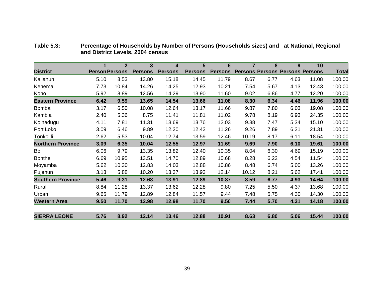|                          |                       | $\mathbf{2}$ | 3              | 4              | 5              | 6              | 7     | 8                      | 9              | 10             |              |
|--------------------------|-----------------------|--------------|----------------|----------------|----------------|----------------|-------|------------------------|----------------|----------------|--------------|
| <b>District</b>          | <b>Person Persons</b> |              | <b>Persons</b> | <b>Persons</b> | <b>Persons</b> | <b>Persons</b> |       | <b>Persons Persons</b> | <b>Persons</b> | <b>Persons</b> | <b>Total</b> |
| Kailahun                 | 5.10                  | 8.53         | 13.80          | 15.18          | 14.45          | 11.79          | 8.67  | 6.77                   | 4.63           | 11.08          | 100.00       |
| Kenema                   | 7.73                  | 10.84        | 14.26          | 14.25          | 12.93          | 10.21          | 7.54  | 5.67                   | 4.13           | 12.43          | 100.00       |
| Kono                     | 5.92                  | 8.89         | 12.56          | 14.29          | 13.90          | 11.60          | 9.02  | 6.86                   | 4.77           | 12.20          | 100.00       |
| <b>Eastern Province</b>  | 6.42                  | 9.59         | 13.65          | 14.54          | 13.66          | 11.08          | 8.30  | 6.34                   | 4.46           | 11.96          | 100.00       |
| Bombali                  | 3.17                  | 6.50         | 10.08          | 12.64          | 13.17          | 11.66          | 9.87  | 7.80                   | 6.03           | 19.08          | 100.00       |
| Kambia                   | 2.40                  | 5.36         | 8.75           | 11.41          | 11.81          | 11.02          | 9.78  | 8.19                   | 6.93           | 24.35          | 100.00       |
| Koinadugu                | 4.11                  | 7.81         | 11.31          | 13.69          | 13.76          | 12.03          | 9.38  | 7.47                   | 5.34           | 15.10          | 100.00       |
| Port Loko                | 3.09                  | 6.46         | 9.89           | 12.20          | 12.42          | 11.26          | 9.26  | 7.89                   | 6.21           | 21.31          | 100.00       |
| Tonkolili                | 2.62                  | 5.53         | 10.04          | 12.74          | 13.59          | 12.46          | 10.19 | 8.17                   | 6.11           | 18.54          | 100.00       |
| <b>Northern Province</b> | 3.09                  | 6.35         | 10.04          | 12.55          | 12.97          | 11.69          | 9.69  | 7.90                   | 6.10           | 19.61          | 100.00       |
| Bo                       | 6.06                  | 9.79         | 13.35          | 13.82          | 12.40          | 10.35          | 8.04  | 6.30                   | 4.69           | 15.19          | 100.00       |
| <b>Bonthe</b>            | 6.69                  | 10.95        | 13.51          | 14.70          | 12.89          | 10.68          | 8.28  | 6.22                   | 4.54           | 11.54          | 100.00       |
| Moyamba                  | 5.62                  | 10.30        | 12.83          | 14.03          | 12.88          | 10.86          | 8.48  | 6.74                   | 5.00           | 13.26          | 100.00       |
| Pujehun                  | 3.13                  | 5.88         | 10.20          | 13.37          | 13.93          | 12.14          | 10.12 | 8.21                   | 5.62           | 17.41          | 100.00       |
| <b>Southern Province</b> | 5.46                  | 9.31         | 12.63          | 13.91          | 12.89          | 10.87          | 8.59  | 6.77                   | 4.93           | 14.64          | 100.00       |
| Rural                    | 8.84                  | 11.28        | 13.37          | 13.62          | 12.28          | 9.80           | 7.25  | 5.50                   | 4.37           | 13.68          | 100.00       |
| Urban                    | 9.65                  | 11.79        | 12.89          | 12.84          | 11.57          | 9.44           | 7.48  | 5.75                   | 4.30           | 14.30          | 100.00       |
| <b>Western Area</b>      | 9.50                  | 11.70        | 12.98          | 12.98          | 11.70          | 9.50           | 7.44  | 5.70                   | 4.31           | 14.18          | 100.00       |
| <b>SIERRA LEONE</b>      | 5.76                  | 8.92         | 12.14          | 13.46          | 12.88          | 10.91          | 8.63  | 6.80                   | 5.06           | 15.44          | 100.00       |

**Table 5.3: Percentage of Households by Number of Persons (Households sizes) and at National, Regional and District Levels, 2004 census**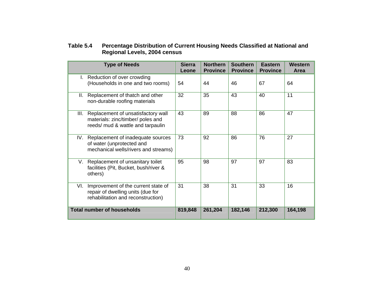#### **Table 5.4 Percentage Distribution of Current Housing Needs Classified at National and Regional Levels, 2004 census**

| <b>Type of Needs</b>                                                                                                  | <b>Sierra</b><br>Leone | <b>Northern</b><br><b>Province</b> | <b>Southern</b><br><b>Province</b> | <b>Eastern</b><br><b>Province</b> | Western<br>Area |
|-----------------------------------------------------------------------------------------------------------------------|------------------------|------------------------------------|------------------------------------|-----------------------------------|-----------------|
| I. Reduction of over crowding<br>(Households in one and two rooms)                                                    | 54                     | 44                                 | 46                                 | 67                                | 64              |
| Replacement of thatch and other<br>Ш.<br>non-durable roofing materials                                                | 32                     | 35                                 | 43                                 | 40                                | 11              |
| III. Replacement of unsatisfactory wall<br>materials: zinc/timber/ poles and<br>reeds/ mud & wattle and tarpaulin     | 43                     | 89                                 | 88                                 | 86                                | 47              |
| Replacement of inadequate sources<br>IV.<br>of water (unprotected and<br>mechanical wells/rivers and streams)         | 73                     | 92                                 | 86                                 | 76                                | 27              |
| V. Replacement of unsanitary toilet<br>facilities (Pit, Bucket, bush/river &<br>others)                               | 95                     | 98                                 | 97                                 | 97                                | 83              |
| VI.<br>Improvement of the current state of<br>repair of dwelling units (due for<br>rehabilitation and reconstruction) | 31                     | 38                                 | 31                                 | 33                                | 16              |
| <b>Total number of households</b>                                                                                     | 819,848                | 261,204                            | 182,146                            | 212,300                           | 164,198         |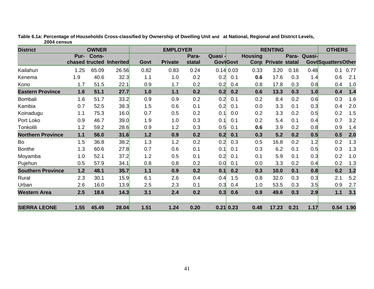| <b>District</b>          |                | <b>OWNER</b> |                  |      | <b>EMPLOYER</b> |        |         | <b>RENTING</b>   |                |                            |       |        | <b>OTHERS</b>              |      |
|--------------------------|----------------|--------------|------------------|------|-----------------|--------|---------|------------------|----------------|----------------------------|-------|--------|----------------------------|------|
|                          | Pur-           | Cons-        |                  |      |                 | Para-  | Quasi - |                  | <b>Housing</b> |                            | Para- | Quasi- |                            |      |
|                          | chased tructed |              | <b>Inherited</b> | Govt | <b>Private</b>  | statal |         | <b>Govt</b> Govt |                | <b>Corp Private statal</b> |       |        | <b>Govt</b> SquattersOther |      |
| Kailahun                 | 1.25           | 65.09        | 26.56            | 0.82 | 0.83            | 0.24   |         | $0.14 \, 0.03$   | 0.33           | 3.20                       | 0.16  | 0.48   | 0.1                        | 0.77 |
| Kenema                   | 1.9            | 40.6         | 32.3             | 1.1  | 1.0             | 0.2    | 0.2     | 0.1              | 0.6            | 17.6                       | 0.3   | 1.4    | 0.6                        | 2.1  |
| Kono                     | 1.7            | 51.5         | 22.1             | 0.9  | 1.7             | 0.2    | 0.2     | 0.4              | 0.8            | 17.8                       | 0.3   | 0.8    | 0.4                        | 1.0  |
| <b>Eastern Province</b>  | 1.6            | 51.1         | 27.7             | 1.0  | 1.1             | 0.2    | 0.2     | 0.2              | 0.6            | 13.3                       | 0.3   | 1.0    | 0.4                        | 1.4  |
| Bombali                  | 1.6            | 51.7         | 33.2             | 0.9  | 0.9             | 0.2    | 0.2     | 0.1              | 0.2            | 8.4                        | 0.2   | 0.6    | 0.3                        | 1.6  |
| Kambia                   | 0.7            | 52.5         | 38.3             | 1.5  | 0.6             | 0.1    | 0.2     | 0.1              | 0.0            | 3.3                        | 0.1   | 0.3    | 0.4                        | 2.0  |
| Koinadugu                | 1.1            | 75.3         | 16.0             | 0.7  | 0.5             | 0.2    | 0.1     | 0.0              | 0.2            | 3.3                        | 0.2   | 0.5    | 0.2                        | 1.5  |
| Port Loko                | 0.9            | 46.7         | 39.0             | 1.9  | 1.0             | 0.3    | 0.1     | 0.1              | 0.2            | 5.4                        | 0.1   | 0.4    | 0.7                        | 3.2  |
| Tonkolili                | 1.2            | 59.2         | 28.6             | 0.9  | 1.2             | 0.3    | 0.5     | 0.1              | 0.6            | 3.9                        | 0.2   | 0.8    | 0.9                        | 1.4  |
| <b>Northern Province</b> | $1.1$          | 56.0         | 31.6             | 1.2  | 0.9             | 0.2    | 0.2     | 0.1              | 0.3            | 5.2                        | 0.2   | 0.5    | 0.5                        | 2.0  |
| Bo                       | 1.5            | 36.8         | 38.2             | 1.3  | 1.2             | 0.2    | 0.2     | 0.3              | 0.5            | 16.8                       | 0.2   | 1.2    | 0.2                        | 1.3  |
| <b>Bonthe</b>            | 1.3            | 60.6         | 27.8             | 0.7  | 0.6             | 0.1    | 0.1     | 0.1              | 0.3            | 6.2                        | 0.1   | 0.5    | 0.3                        | 1.3  |
| Moyamba                  | 1.0            | 52.1         | 37.2             | 1.2  | 0.5             | 0.1    | 0.2     | 0.1              | 0.1            | 5.9                        | 0.1   | 0.3    | 0.2                        | 1.0  |
| Pujehun                  | 0.5            | 57.9         | 34.1             | 0.8  | 0.8             | 0.2    | 0.0     | 0.1              | 0.0            | 3.3                        | 0.2   | 0.4    | 0.2                        | 1.3  |
| <b>Southern Province</b> | $1.2$          | 48.1         | 35.7             | 1.1  | 0.9             | 0.2    | 0.1     | 0.2              | 0.3            | 10.0                       | 0.1   | 0.8    | 0.2                        | 1.2  |
| Rural                    | 2.3            | 30.1         | 15.9             | 6.1  | 2.6             | 0.4    | 0.4     | 1.5              | 0.8            | 32.0                       | 0.3   | 0.3    | 2.1                        | 5.2  |
| Urban                    | 2.6            | 16.0         | 13.9             | 2.5  | 2.3             | 0.1    | 0.3     | 0.4              | 1.0            | 53.5                       | 0.3   | 3.5    | 0.9                        | 2.7  |
| <b>Western Area</b>      | 2.5            | 18.6         | 14.3             | 3.1  | 2.4             | 0.2    | 0.3     | 0.6              | 0.9            | 49.6                       | 0.3   | 2.9    | 1.1                        | 3.1  |
| <b>SIERRA LEONE</b>      | 1.55           | 45.49        | 28.04            | 1.51 | 1.24            | 0.20   |         | $0.21$ 0.23      | 0.48           | 17.23                      | 0.21  | 1.17   | 0.54                       | 1.90 |

**Table 6.1a: Percentage of Households Cross-classified by Ownership of Dwelling Unit and at National, Regional and District Levels, 2004 census**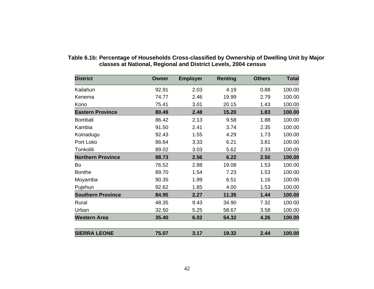| <b>District</b>          | <b>Owner</b> | <b>Employer</b> | <b>Renting</b> | <b>Others</b> | <b>Total</b> |
|--------------------------|--------------|-----------------|----------------|---------------|--------------|
| Kailahun                 | 92.91        | 2.03            | 4.19           | 0.88          | 100.00       |
| Kenema                   | 74.77        | 2.46            | 19.99          | 2.79          | 100.00       |
| Kono                     | 75.41        | 3.01            | 20.15          | 1.43          | 100.00       |
| <b>Eastern Province</b>  | 80.49        | 2.48            | 15.20          | 1.83          | 100.00       |
| <b>Bombali</b>           | 86.42        | 2.13            | 9.58           | 1.88          | 100.00       |
| Kambia                   | 91.50        | 2.41            | 3.74           | 2.35          | 100.00       |
| Koinadugu                | 92.43        | 1.55            | 4.29           | 1.73          | 100.00       |
| Port Loko                | 86.64        | 3.33            | 6.21           | 3.81          | 100.00       |
| Tonkolili                | 89.02        | 3.03            | 5.62           | 2.33          | 100.00       |
| <b>Northern Province</b> | 88.73        | 2.56            | 6.22           | 2.50          | 100.00       |
| Bo                       | 76.52        | 2.88            | 19.08          | 1.53          | 100.00       |
| <b>Bonthe</b>            | 89.70        | 1.54            | 7.23           | 1.53          | 100.00       |
| Moyamba                  | 90.35        | 1.99            | 6.51           | 1.16          | 100.00       |
| Pujehun                  | 92.62        | 1.85            | 4.00           | 1.53          | 100.00       |
| <b>Southern Province</b> | 84.95        | 2.27            | 11.35          | 1.44          | 100.00       |
| Rural                    | 48.35        | 9.43            | 34.90          | 7.32          | 100.00       |
| Urban                    | 32.50        | 5.25            | 58.67          | 3.58          | 100.00       |
| <b>Western Area</b>      | 35.40        | 6.02            | 54.32          | 4.26          | 100.00       |
| <b>SIERRA LEONE</b>      | 75.07        | 3.17            | 19.32          | 2.44          | 100.00       |

#### **Table 6.1b: Percentage of Households Cross-classified by Ownership of Dwelling Unit by Major classes at National, Regional and District Levels, 2004 census**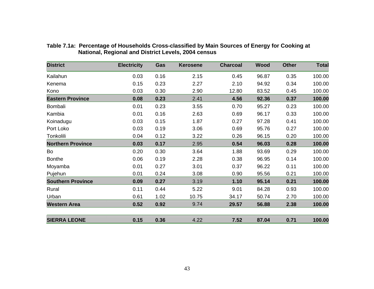| <b>District</b>          | <b>Electricity</b> | Gas  | <b>Kerosene</b> | <b>Charcoal</b> | Wood  | <b>Other</b> | <b>Total</b> |
|--------------------------|--------------------|------|-----------------|-----------------|-------|--------------|--------------|
| Kailahun                 | 0.03               | 0.16 | 2.15            | 0.45            | 96.87 | 0.35         | 100.00       |
| Kenema                   | 0.15               | 0.23 | 2.27            | 2.10            | 94.92 | 0.34         | 100.00       |
| Kono                     | 0.03               | 0.30 | 2.90            | 12.80           | 83.52 | 0.45         | 100.00       |
| <b>Eastern Province</b>  | 0.08               | 0.23 | 2.41            | 4.56            | 92.36 | 0.37         | 100.00       |
| Bombali                  | 0.01               | 0.23 | 3.55            | 0.70            | 95.27 | 0.23         | 100.00       |
| Kambia                   | 0.01               | 0.16 | 2.63            | 0.69            | 96.17 | 0.33         | 100.00       |
| Koinadugu                | 0.03               | 0.15 | 1.87            | 0.27            | 97.28 | 0.41         | 100.00       |
| Port Loko                | 0.03               | 0.19 | 3.06            | 0.69            | 95.76 | 0.27         | 100.00       |
| Tonkolili                | 0.04               | 0.12 | 3.22            | 0.26            | 96.15 | 0.20         | 100.00       |
| <b>Northern Province</b> | 0.03               | 0.17 | 2.95            | 0.54            | 96.03 | 0.28         | 100.00       |
| Bo                       | 0.20               | 0.30 | 3.64            | 1.88            | 93.69 | 0.29         | 100.00       |
| <b>Bonthe</b>            | 0.06               | 0.19 | 2.28            | 0.38            | 96.95 | 0.14         | 100.00       |
| Moyamba                  | 0.01               | 0.27 | 3.01            | 0.37            | 96.22 | 0.11         | 100.00       |
| Pujehun                  | 0.01               | 0.24 | 3.08            | 0.90            | 95.56 | 0.21         | 100.00       |
| <b>Southern Province</b> | 0.09               | 0.27 | 3.19            | 1.10            | 95.14 | 0.21         | 100.00       |
| Rural                    | 0.11               | 0.44 | 5.22            | 9.01            | 84.28 | 0.93         | 100.00       |
| Urban                    | 0.61               | 1.02 | 10.75           | 34.17           | 50.74 | 2.70         | 100.00       |
| <b>Western Area</b>      | 0.52               | 0.92 | 9.74            | 29.57           | 56.88 | 2.38         | 100.00       |
| <b>SIERRA LEONE</b>      | 0.15               | 0.36 | 4.22            | 7.52            | 87.04 | 0.71         | 100.00       |

#### **Table 7.1a: Percentage of Households Cross-classified by Main Sources of Energy for Cooking at National, Regional and District Levels, 2004 census**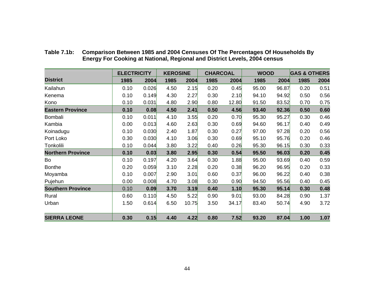|                          | <b>ELECTRICITY</b> |       | <b>KEROSINE</b> |       | <b>CHARCOAL</b> |       | <b>WOOD</b> |       | <b>GAS &amp; OTHERS</b> |      |
|--------------------------|--------------------|-------|-----------------|-------|-----------------|-------|-------------|-------|-------------------------|------|
| <b>District</b>          | 1985               | 2004  | 1985            | 2004  | 1985            | 2004  | 1985        | 2004  | 1985                    | 2004 |
| Kailahun                 | 0.10               | 0.026 | 4.50            | 2.15  | 0.20            | 0.45  | 95.00       | 96.87 | 0.20                    | 0.51 |
| Kenema                   | 0.10               | 0.149 | 4.30            | 2.27  | 0.30            | 2.10  | 94.10       | 94.92 | 0.50                    | 0.56 |
| Kono                     | 0.10               | 0.031 | 4.80            | 2.90  | 0.80            | 12.80 | 91.50       | 83.52 | 0.70                    | 0.75 |
| <b>Eastern Province</b>  | 0.10               | 0.08  | 4.50            | 2.41  | 0.50            | 4.56  | 93.40       | 92.36 | 0.50                    | 0.60 |
| Bombali                  | 0.10               | 0.011 | 4.10            | 3.55  | 0.20            | 0.70  | 95.30       | 95.27 | 0.30                    | 0.46 |
| Kambia                   | 0.00               | 0.013 | 4.60            | 2.63  | 0.30            | 0.69  | 94.60       | 96.17 | 0.40                    | 0.49 |
| Koinadugu                | 0.10               | 0.030 | 2.40            | 1.87  | 0.30            | 0.27  | 97.00       | 97.28 | 0.20                    | 0.56 |
| Port Loko                | 0.30               | 0.030 | 4.10            | 3.06  | 0.30            | 0.69  | 95.10       | 95.76 | 0.20                    | 0.46 |
| Tonkolili                | 0.10               | 0.044 | 3.80            | 3.22  | 0.40            | 0.26  | 95.30       | 96.15 | 0.30                    | 0.33 |
| <b>Northern Province</b> | 0.10               | 0.03  | 3.80            | 2.95  | 0.30            | 0.54  | 95.50       | 96.03 | 0.20                    | 0.45 |
| Bo                       | 0.10               | 0.197 | 4.20            | 3.64  | 0.30            | 1.88  | 95.00       | 93.69 | 0.40                    | 0.59 |
| <b>Bonthe</b>            | 0.20               | 0.059 | 3.10            | 2.28  | 0.20            | 0.38  | 96.20       | 96.95 | 0.20                    | 0.33 |
| Moyamba                  | 0.10               | 0.007 | 2.90            | 3.01  | 0.60            | 0.37  | 96.00       | 96.22 | 0.40                    | 0.38 |
| Pujehun                  | 0.00               | 0.008 | 4.70            | 3.08  | 0.30            | 0.90  | 94.50       | 95.56 | 0.40                    | 0.45 |
| <b>Southern Province</b> | 0.10               | 0.09  | 3.70            | 3.19  | 0.40            | 1.10  | 95.30       | 95.14 | 0.30                    | 0.48 |
| Rural                    | 0.60               | 0.110 | 4.50            | 5.22  | 0.90            | 9.01  | 93.00       | 84.28 | 0.90                    | 1.37 |
| Urban                    | 1.50               | 0.614 | 6.50            | 10.75 | 3.50            | 34.17 | 83.40       | 50.74 | 4.90                    | 3.72 |
| <b>SIERRA LEONE</b>      | 0.30               | 0.15  | 4.40            | 4.22  | 0.80            | 7.52  | 93.20       | 87.04 | 1.00                    | 1.07 |

**Table 7.1b: Comparison Between 1985 and 2004 Censuses Of The Percentages Of Households By Energy For Cooking at National, Regional and District Levels, 2004 census**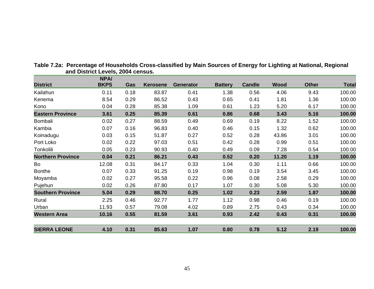|                          | <b>NPA/</b> |      |                 |                  |                |               |             |              |              |
|--------------------------|-------------|------|-----------------|------------------|----------------|---------------|-------------|--------------|--------------|
| <b>District</b>          | <b>BKPS</b> | Gas  | <b>Kerosene</b> | <b>Generator</b> | <b>Battery</b> | <b>Candle</b> | <b>Wood</b> | <b>Other</b> | <b>Total</b> |
| Kailahun                 | 0.11        | 0.18 | 83.87           | 0.41             | 1.38           | 0.56          | 4.06        | 9.43         | 100.00       |
| Kenema                   | 8.54        | 0.29 | 86.52           | 0.43             | 0.65           | 0.41          | 1.81        | 1.36         | 100.00       |
| Kono                     | 0.04        | 0.28 | 85.38           | 1.09             | 0.61           | 1.23          | 5.20        | 6.17         | 100.00       |
| <b>Eastern Province</b>  | 3.61        | 0.25 | 85.39           | 0.61             | 0.86           | 0.68          | 3.43        | 5.16         | 100.00       |
| Bombali                  | 0.02        | 0.27 | 88.59           | 0.49             | 0.69           | 0.19          | 8.22        | 1.52         | 100.00       |
| Kambia                   | 0.07        | 0.16 | 96.83           | 0.40             | 0.46           | 0.15          | 1.32        | 0.62         | 100.00       |
| Koinadugu                | 0.03        | 0.15 | 51.87           | 0.27             | 0.52           | 0.28          | 43.86       | 3.01         | 100.00       |
| Port Loko                | 0.02        | 0.22 | 97.03           | 0.51             | 0.42           | 0.28          | 0.99        | 0.51         | 100.00       |
| Tonkolili                | 0.05        | 0.23 | 90.93           | 0.40             | 0.49           | 0.09          | 7.28        | 0.54         | 100.00       |
| <b>Northern Province</b> | 0.04        | 0.21 | 86.21           | 0.43             | 0.52           | 0.20          | 11.20       | 1.19         | 100.00       |
| Bo                       | 12.08       | 0.31 | 84.17           | 0.33             | 1.04           | 0.30          | 1.11        | 0.66         | 100.00       |
| <b>Bonthe</b>            | 0.07        | 0.33 | 91.25           | 0.19             | 0.98           | 0.19          | 3.54        | 3.45         | 100.00       |
| Moyamba                  | 0.02        | 0.27 | 95.58           | 0.22             | 0.96           | 0.08          | 2.58        | 0.29         | 100.00       |
| Pujehun                  | 0.02        | 0.26 | 87.80           | 0.17             | 1.07           | 0.30          | 5.08        | 5.30         | 100.00       |
| <b>Southern Province</b> | 5.04        | 0.29 | 88.70           | 0.25             | 1.02           | 0.23          | 2.59        | 1.87         | 100.00       |
| Rural                    | 2.25        | 0.46 | 92.77           | 1.77             | 1.12           | 0.98          | 0.46        | 0.19         | 100.00       |
| Urban                    | 11.93       | 0.57 | 79.08           | 4.02             | 0.89           | 2.75          | 0.43        | 0.34         | 100.00       |
| <b>Western Area</b>      | 10.16       | 0.55 | 81.59           | 3.61             | 0.93           | 2.42          | 0.43        | 0.31         | 100.00       |
| <b>SIERRA LEONE</b>      | 4.10        | 0.31 | 85.63           | 1.07             | 0.80           | 0.78          | 5.12        | 2.19         | 100.00       |

**Table 7.2a: Percentage of Households Cross-classified by Main Sources of Energy for Lighting at National, Regional and District Levels, 2004 census.**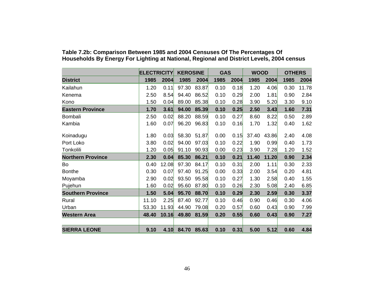|                          | <b>ELECTRICITY</b> |       | <b>KEROSINE</b> |       | <b>GAS</b> |      | <b>WOOD</b> |       | <b>OTHERS</b> |       |
|--------------------------|--------------------|-------|-----------------|-------|------------|------|-------------|-------|---------------|-------|
| <b>District</b>          | 1985               | 2004  | 1985            | 2004  | 1985       | 2004 | 1985        | 2004  | 1985          | 2004  |
| Kailahun                 | 1.20               | 0.11  | 97.30           | 83.87 | 0.10       | 0.18 | 1.20        | 4.06  | 0.30          | 11.78 |
| Kenema                   | 2.50               | 8.54  | 94.40           | 86.52 | 0.10       | 0.29 | 2.00        | 1.81  | 0.90          | 2.84  |
| Kono                     | 1.50               | 0.04  | 89.00           | 85.38 | 0.10       | 0.28 | 3.90        | 5.20  | 3.30          | 9.10  |
| <b>Eastern Province</b>  | 1.70               | 3.61  | 94.00           | 85.39 | 0.10       | 0.25 | 2.50        | 3.43  | 1.60          | 7.31  |
| Bombali                  | 2.50               | 0.02  | 88.20           | 88.59 | 0.10       | 0.27 | 8.60        | 8.22  | 0.50          | 2.89  |
| Kambia                   | 1.60               | 0.07  | 96.20           | 96.83 | 0.10       | 0.16 | 1.70        | 1.32  | 0.40          | 1.62  |
| Koinadugu                | 1.80               | 0.03  | 58.30           | 51.87 | 0.00       | 0.15 | 37.40       | 43.86 | 2.40          | 4.08  |
| Port Loko                | 3.80               | 0.02  | 94.00           | 97.03 | 0.10       | 0.22 | 1.90        | 0.99  | 0.40          | 1.73  |
| Tonkolili                | 1.20               | 0.05  | 91.10           | 90.93 | 0.00       | 0.23 | 3.90        | 7.28  | 1.20          | 1.52  |
| <b>Northern Province</b> | 2.30               | 0.04  | 85.30           | 86.21 | 0.10       | 0.21 | 11.40       | 11.20 | 0.90          | 2.34  |
| Bo                       | 0.40               | 12.08 | 97.30           | 84.17 | 0.10       | 0.31 | 2.00        | 1.11  | 0.30          | 2.33  |
| <b>Bonthe</b>            | 0.30               | 0.07  | 97.40           | 91.25 | 0.00       | 0.33 | 2.00        | 3.54  | 0.20          | 4.81  |
| Moyamba                  | 2.90               | 0.02  | 93.50           | 95.58 | 0.10       | 0.27 | 1.30        | 2.58  | 0.40          | 1.55  |
| Pujehun                  | 1.60               | 0.02  | 95.60           | 87.80 | 0.10       | 0.26 | 2.30        | 5.08  | 2.40          | 6.85  |
| <b>Southern Province</b> | 1.50               | 5.04  | 95.70           | 88.70 | 0.10       | 0.29 | 2.30        | 2.59  | 0.30          | 3.37  |
| Rural                    | 11.10              | 2.25  | 87.40           | 92.77 | 0.10       | 0.46 | 0.90        | 0.46  | 0.30          | 4.06  |
| Urban                    | 53.30              | 11.93 | 44.90           | 79.08 | 0.20       | 0.57 | 0.60        | 0.43  | 0.90          | 7.99  |
| <b>Western Area</b>      | 48.40              | 10.16 | 49.80           | 81.59 | 0.20       | 0.55 | 0.60        | 0.43  | 0.90          | 7.27  |
|                          |                    |       |                 |       |            |      |             |       |               |       |
| <b>SIERRA LEONE</b>      | 9.10               | 4.10  | 84.70           | 85.63 | 0.10       | 0.31 | 5.00        | 5.12  | 0.60          | 4.84  |

#### **Table 7.2b: Comparison Between 1985 and 2004 Censuses Of The Percentages Of Households By Energy For Lighting at National, Regional and District Levels, 2004 census**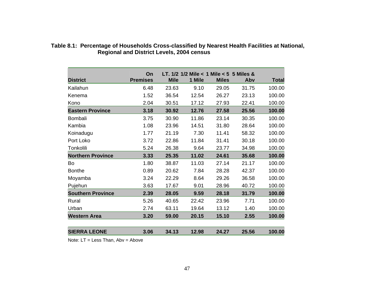| <b>District</b>          | On<br><b>Premises</b> | <b>Mile</b> | LT, $1/2$ $1/2$ Mile $< 1$ Mile $< 5$ 5 Miles &<br>1 Mile | <b>Miles</b> | Abv   | <b>Total</b> |
|--------------------------|-----------------------|-------------|-----------------------------------------------------------|--------------|-------|--------------|
|                          |                       |             |                                                           |              |       |              |
| Kailahun                 | 6.48                  | 23.63       | 9.10                                                      | 29.05        | 31.75 | 100.00       |
| Kenema                   | 1.52                  | 36.54       | 12.54                                                     | 26.27        | 23.13 | 100.00       |
| Kono                     | 2.04                  | 30.51       | 17.12                                                     | 27.93        | 22.41 | 100.00       |
| <b>Eastern Province</b>  | 3.18                  | 30.92       | 12.76                                                     | 27.58        | 25.56 | 100.00       |
| <b>Bombali</b>           | 3.75                  | 30.90       | 11.86                                                     | 23.14        | 30.35 | 100.00       |
| Kambia                   | 1.08                  | 23.96       | 14.51                                                     | 31.80        | 28.64 | 100.00       |
| Koinadugu                | 1.77                  | 21.19       | 7.30                                                      | 11.41        | 58.32 | 100.00       |
| Port Loko                | 3.72                  | 22.86       | 11.84                                                     | 31.41        | 30.18 | 100.00       |
| Tonkolili                | 5.24                  | 26.38       | 9.64                                                      | 23.77        | 34.98 | 100.00       |
| <b>Northern Province</b> | 3.33                  | 25.35       | 11.02                                                     | 24.61        | 35.68 | 100.00       |
| Bo                       | 1.80                  | 38.87       | 11.03                                                     | 27.14        | 21.17 | 100.00       |
| <b>Bonthe</b>            | 0.89                  | 20.62       | 7.84                                                      | 28.28        | 42.37 | 100.00       |
| Moyamba                  | 3.24                  | 22.29       | 8.64                                                      | 29.26        | 36.58 | 100.00       |
| Pujehun                  | 3.63                  | 17.67       | 9.01                                                      | 28.96        | 40.72 | 100.00       |
| <b>Southern Province</b> | 2.39                  | 28.05       | 9.59                                                      | 28.18        | 31.79 | 100.00       |
| Rural                    | 5.26                  | 40.65       | 22.42                                                     | 23.96        | 7.71  | 100.00       |
| Urban                    | 2.74                  | 63.11       | 19.64                                                     | 13.12        | 1.40  | 100.00       |
| <b>Western Area</b>      | 3.20                  | 59.00       | 20.15                                                     | 15.10        | 2.55  | 100.00       |
| <b>SIERRA LEONE</b>      | 3.06                  | 34.13       | 12.98                                                     | 24.27        | 25.56 | 100.00       |

#### **Table 8.1: Percentage of Households Cross-classified by Nearest Health Facilities at National, Regional and District Levels, 2004 census**

Note: LT = Less Than, Abv = Above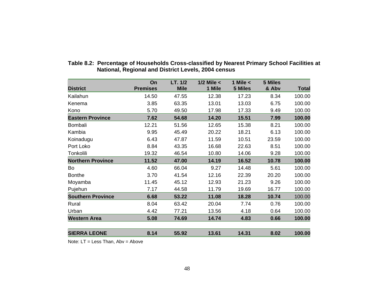|                          | On              | LT. 1/2     | $1/2$ Mile $<$ | 1 Mile $<$ | 5 Miles |        |
|--------------------------|-----------------|-------------|----------------|------------|---------|--------|
| <b>District</b>          | <b>Premises</b> | <b>Mile</b> | 1 Mile         | 5 Miles    | & Abv   | Total  |
| Kailahun                 | 14.50           | 47.55       | 12.38          | 17.23      | 8.34    | 100.00 |
| Kenema                   | 3.85            | 63.35       | 13.01          | 13.03      | 6.75    | 100.00 |
| Kono                     | 5.70            | 49.50       | 17.98          | 17.33      | 9.49    | 100.00 |
| <b>Eastern Province</b>  | 7.62            | 54.68       | 14.20          | 15.51      | 7.99    | 100.00 |
| <b>Bombali</b>           | 12.21           | 51.56       | 12.65          | 15.38      | 8.21    | 100.00 |
| Kambia                   | 9.95            | 45.49       | 20.22          | 18.21      | 6.13    | 100.00 |
| Koinadugu                | 6.43            | 47.87       | 11.59          | 10.51      | 23.59   | 100.00 |
| Port Loko                | 8.84            | 43.35       | 16.68          | 22.63      | 8.51    | 100.00 |
| Tonkolili                | 19.32           | 46.54       | 10.80          | 14.06      | 9.28    | 100.00 |
| <b>Northern Province</b> | 11.52           | 47.00       | 14.19          | 16.52      | 10.78   | 100.00 |
| Bo                       | 4.60            | 66.04       | 9.27           | 14.48      | 5.61    | 100.00 |
| <b>Bonthe</b>            | 3.70            | 41.54       | 12.16          | 22.39      | 20.20   | 100.00 |
| Moyamba                  | 11.45           | 45.12       | 12.93          | 21.23      | 9.26    | 100.00 |
| Pujehun                  | 7.17            | 44.58       | 11.79          | 19.69      | 16.77   | 100.00 |
| <b>Southern Province</b> | 6.68            | 53.22       | 11.08          | 18.28      | 10.74   | 100.00 |
| Rural                    | 8.04            | 63.42       | 20.04          | 7.74       | 0.76    | 100.00 |
| Urban                    | 4.42            | 77.21       | 13.56          | 4.18       | 0.64    | 100.00 |
| <b>Western Area</b>      | 5.08            | 74.69       | 14.74          | 4.83       | 0.66    | 100.00 |
|                          |                 |             |                |            |         |        |
| <b>SIERRA LEONE</b>      | 8.14            | 55.92       | 13.61          | 14.31      | 8.02    | 100.00 |
|                          |                 |             |                |            |         |        |

#### **Table 8.2: Percentage of Households Cross-classified by Nearest Primary School Facilities at National, Regional and District Levels, 2004 census**

Note: LT = Less Than, Abv = Above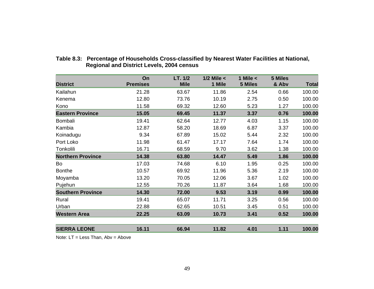|                          | On              | LT. 1/2     | $1/2$ Mile $<$ | 1 Mile $\lt$ | <b>5 Miles</b> |              |
|--------------------------|-----------------|-------------|----------------|--------------|----------------|--------------|
| <b>District</b>          | <b>Premises</b> | <b>Mile</b> | 1 Mile         | 5 Miles      | & Abv          | <b>Total</b> |
| Kailahun                 | 21.28           | 63.67       | 11.86          | 2.54         | 0.66           | 100.00       |
| Kenema                   | 12.80           | 73.76       | 10.19          | 2.75         | 0.50           | 100.00       |
| Kono                     | 11.58           | 69.32       | 12.60          | 5.23         | 1.27           | 100.00       |
| <b>Eastern Province</b>  | 15.05           | 69.45       | 11.37          | 3.37         | 0.76           | 100.00       |
| Bombali                  | 19.41           | 62.64       | 12.77          | 4.03         | 1.15           | 100.00       |
| Kambia                   | 12.87           | 58.20       | 18.69          | 6.87         | 3.37           | 100.00       |
| Koinadugu                | 9.34            | 67.89       | 15.02          | 5.44         | 2.32           | 100.00       |
| Port Loko                | 11.98           | 61.47       | 17.17          | 7.64         | 1.74           | 100.00       |
| Tonkolili                | 16.71           | 68.59       | 9.70           | 3.62         | 1.38           | 100.00       |
| <b>Northern Province</b> | 14.38           | 63.80       | 14.47          | 5.49         | 1.86           | 100.00       |
| Bo                       | 17.03           | 74.68       | 6.10           | 1.95         | 0.25           | 100.00       |
| <b>Bonthe</b>            | 10.57           | 69.92       | 11.96          | 5.36         | 2.19           | 100.00       |
| Moyamba                  | 13.20           | 70.05       | 12.06          | 3.67         | 1.02           | 100.00       |
| Pujehun                  | 12.55           | 70.26       | 11.87          | 3.64         | 1.68           | 100.00       |
| <b>Southern Province</b> | 14.30           | 72.00       | 9.53           | 3.19         | 0.99           | 100.00       |
| Rural                    | 19.41           | 65.07       | 11.71          | 3.25         | 0.56           | 100.00       |
| Urban                    | 22.88           | 62.65       | 10.51          | 3.45         | 0.51           | 100.00       |
| <b>Western Area</b>      | 22.25           | 63.09       | 10.73          | 3.41         | 0.52           | 100.00       |
| <b>SIERRA LEONE</b>      | 16.11           | 66.94       | 11.82          | 4.01         | 1.11           | 100.00       |

#### **Table 8.3: Percentage of Households Cross-classified by Nearest Water Facilities at National, Regional and District Levels, 2004 census**

Note: LT = Less Than, Abv = Above